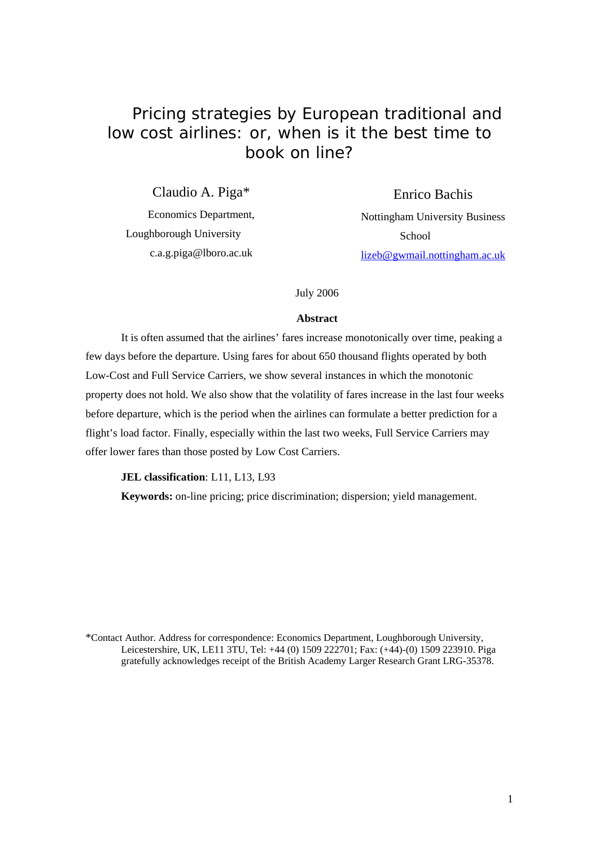# Pricing strategies by European traditional and low cost airlines: or, when is it the best time to book on line?

Claudio A. Piga\*

Economics Department, Loughborough University c.a.g.piga@lboro.ac.uk

Enrico Bachis Nottingham University Business School [lizeb@gwmail.nottingham.ac.uk](mailto:atzeni@uniss.it)

#### July 2006

#### **Abstract**

It is often assumed that the airlines' fares increase monotonically over time, peaking a few days before the departure. Using fares for about 650 thousand flights operated by both Low-Cost and Full Service Carriers, we show several instances in which the monotonic property does not hold. We also show that the volatility of fares increase in the last four weeks before departure, which is the period when the airlines can formulate a better prediction for a flight's load factor. Finally, especially within the last two weeks, Full Service Carriers may offer lower fares than those posted by Low Cost Carriers.

**JEL classification**: L11, L13, L93

**Keywords:** on-line pricing; price discrimination; dispersion; yield management.

\*Contact Author. Address for correspondence: Economics Department, Loughborough University, Leicestershire, UK, LE11 3TU, Tel: +44 (0) 1509 222701; Fax: (+44)-(0) 1509 223910. Piga gratefully acknowledges receipt of the British Academy Larger Research Grant LRG-35378.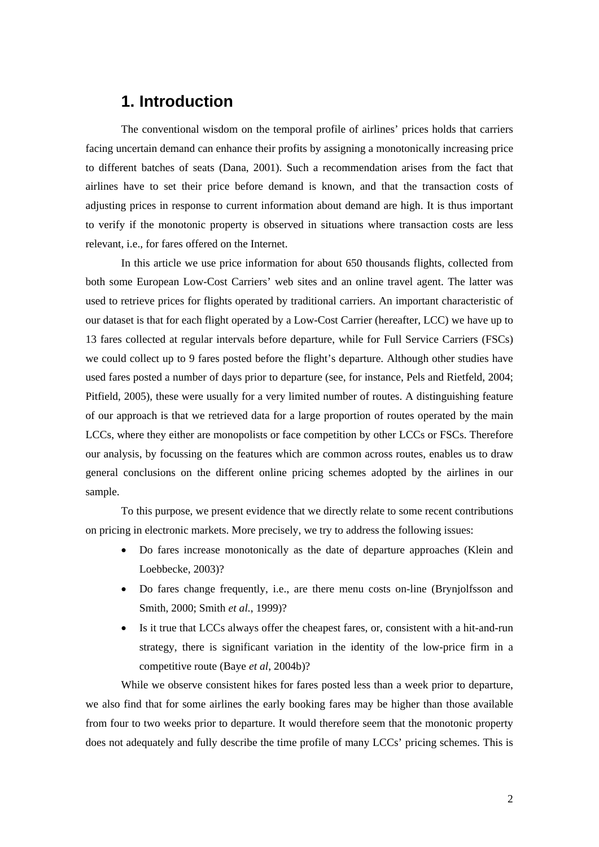## **1. Introduction**

The conventional wisdom on the temporal profile of airlines' prices holds that carriers facing uncertain demand can enhance their profits by assigning a monotonically increasing price to different batches of seats (Dana, 2001). Such a recommendation arises from the fact that airlines have to set their price before demand is known, and that the transaction costs of adjusting prices in response to current information about demand are high. It is thus important to verify if the monotonic property is observed in situations where transaction costs are less relevant, i.e., for fares offered on the Internet.

In this article we use price information for about 650 thousands flights, collected from both some European Low-Cost Carriers' web sites and an online travel agent. The latter was used to retrieve prices for flights operated by traditional carriers. An important characteristic of our dataset is that for each flight operated by a Low-Cost Carrier (hereafter, LCC) we have up to 13 fares collected at regular intervals before departure, while for Full Service Carriers (FSCs) we could collect up to 9 fares posted before the flight's departure. Although other studies have used fares posted a number of days prior to departure (see, for instance, Pels and Rietfeld, 2004; Pitfield, 2005), these were usually for a very limited number of routes. A distinguishing feature of our approach is that we retrieved data for a large proportion of routes operated by the main LCCs, where they either are monopolists or face competition by other LCCs or FSCs. Therefore our analysis, by focussing on the features which are common across routes, enables us to draw general conclusions on the different online pricing schemes adopted by the airlines in our sample.

To this purpose, we present evidence that we directly relate to some recent contributions on pricing in electronic markets. More precisely, we try to address the following issues:

- Do fares increase monotonically as the date of departure approaches (Klein and Loebbecke, 2003)?
- Do fares change frequently, i.e., are there menu costs on-line (Brynjolfsson and Smith, 2000; Smith *et al.*, 1999)?
- Is it true that LCCs always offer the cheapest fares, or, consistent with a hit-and-run strategy, there is significant variation in the identity of the low-price firm in a competitive route (Baye *et al*, 2004b)?

While we observe consistent hikes for fares posted less than a week prior to departure, we also find that for some airlines the early booking fares may be higher than those available from four to two weeks prior to departure. It would therefore seem that the monotonic property does not adequately and fully describe the time profile of many LCCs' pricing schemes. This is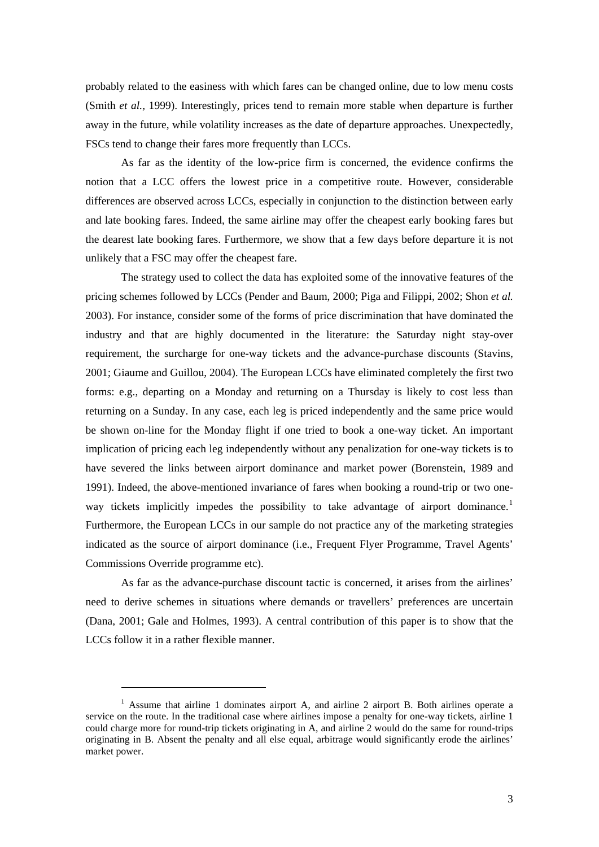probably related to the easiness with which fares can be changed online, due to low menu costs (Smith *et al.,* 1999). Interestingly, prices tend to remain more stable when departure is further away in the future, while volatility increases as the date of departure approaches. Unexpectedly, FSCs tend to change their fares more frequently than LCCs.

As far as the identity of the low-price firm is concerned, the evidence confirms the notion that a LCC offers the lowest price in a competitive route. However, considerable differences are observed across LCCs, especially in conjunction to the distinction between early and late booking fares. Indeed, the same airline may offer the cheapest early booking fares but the dearest late booking fares. Furthermore, we show that a few days before departure it is not unlikely that a FSC may offer the cheapest fare.

The strategy used to collect the data has exploited some of the innovative features of the pricing schemes followed by LCCs (Pender and Baum, 2000; Piga and Filippi, 2002; Shon *et al.*  2003). For instance, consider some of the forms of price discrimination that have dominated the industry and that are highly documented in the literature: the Saturday night stay-over requirement, the surcharge for one-way tickets and the advance-purchase discounts (Stavins, 2001; Giaume and Guillou, 2004). The European LCCs have eliminated completely the first two forms: e.g., departing on a Monday and returning on a Thursday is likely to cost less than returning on a Sunday. In any case, each leg is priced independently and the same price would be shown on-line for the Monday flight if one tried to book a one-way ticket. An important implication of pricing each leg independently without any penalization for one-way tickets is to have severed the links between airport dominance and market power (Borenstein, 1989 and 1991). Indeed, the above-mentioned invariance of fares when booking a round-trip or two one-way tickets implicitly impedes the possibility to take advantage of airport dominance.<sup>[1](#page-2-0)</sup> Furthermore, the European LCCs in our sample do not practice any of the marketing strategies indicated as the source of airport dominance (i.e., Frequent Flyer Programme, Travel Agents' Commissions Override programme etc).

As far as the advance-purchase discount tactic is concerned, it arises from the airlines' need to derive schemes in situations where demands or travellers' preferences are uncertain (Dana, 2001; Gale and Holmes, 1993). A central contribution of this paper is to show that the LCCs follow it in a rather flexible manner.

<span id="page-2-0"></span><sup>&</sup>lt;sup>1</sup> Assume that airline 1 dominates airport A, and airline 2 airport B. Both airlines operate a service on the route. In the traditional case where airlines impose a penalty for one-way tickets, airline 1 could charge more for round-trip tickets originating in A, and airline 2 would do the same for round-trips originating in B. Absent the penalty and all else equal, arbitrage would significantly erode the airlines' market power.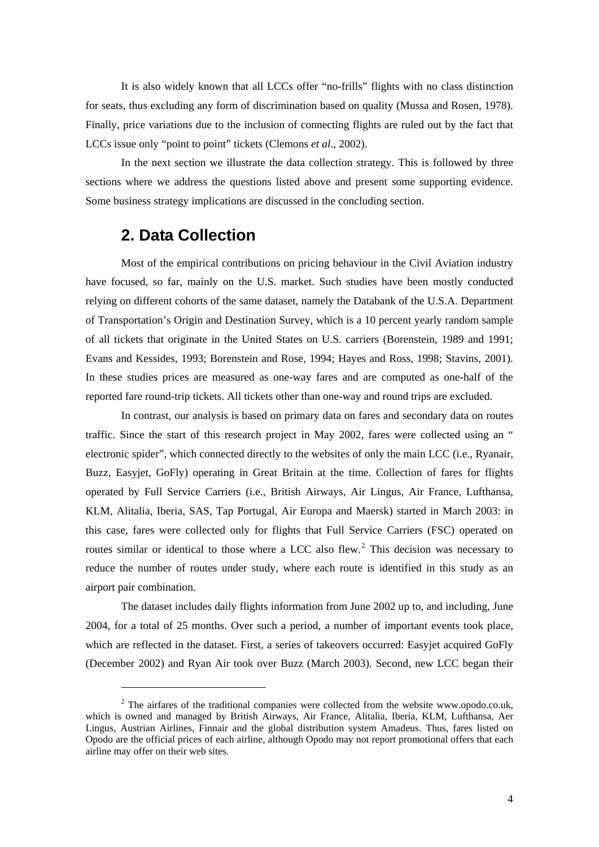It is also widely known that all LCCs offer "no-frills" flights with no class distinction for seats, thus excluding any form of discrimination based on quality (Mussa and Rosen, 1978). Finally, price variations due to the inclusion of connecting flights are ruled out by the fact that LCCs issue only "point to point" tickets (Clemons *et al*., 2002).

In the next section we illustrate the data collection strategy. This is followed by three sections where we address the questions listed above and present some supporting evidence. Some business strategy implications are discussed in the concluding section.

## **2. Data Collection**

l

Most of the empirical contributions on pricing behaviour in the Civil Aviation industry have focused, so far, mainly on the U.S. market. Such studies have been mostly conducted relying on different cohorts of the same dataset, namely the Databank of the U.S.A. Department of Transportation's Origin and Destination Survey, which is a 10 percent yearly random sample of all tickets that originate in the United States on U.S. carriers (Borenstein, 1989 and 1991; Evans and Kessides, 1993; Borenstein and Rose, 1994; Hayes and Ross, 1998; Stavins, 2001). In these studies prices are measured as one-way fares and are computed as one-half of the reported fare round-trip tickets. All tickets other than one-way and round trips are excluded.

In contrast, our analysis is based on primary data on fares and secondary data on routes traffic. Since the start of this research project in May 2002, fares were collected using an " electronic spider", which connected directly to the websites of only the main LCC (i.e., Ryanair, Buzz, Easyjet, GoFly) operating in Great Britain at the time. Collection of fares for flights operated by Full Service Carriers (i.e., British Airways, Air Lingus, Air France, Lufthansa, KLM, Alitalia, Iberia, SAS, Tap Portugal, Air Europa and Maersk) started in March 2003: in this case, fares were collected only for flights that Full Service Carriers (FSC) operated on routes similar or identical to those where a LCC also flew.<sup>[2](#page-3-0)</sup> This decision was necessary to reduce the number of routes under study, where each route is identified in this study as an airport pair combination.

The dataset includes daily flights information from June 2002 up to, and including, June 2004, for a total of 25 months. Over such a period, a number of important events took place, which are reflected in the dataset. First, a series of takeovers occurred: Easyjet acquired GoFly (December 2002) and Ryan Air took over Buzz (March 2003). Second, new LCC began their

<span id="page-3-0"></span> $2$  The airfares of the traditional companies were collected from the website www.opodo.co.uk, which is owned and managed by British Airways, Air France, Alitalia, Iberia, KLM, Lufthansa, Aer Lingus, Austrian Airlines, Finnair and the global distribution system Amadeus. Thus, fares listed on Opodo are the official prices of each airline, although Opodo may not report promotional offers that each airline may offer on their web sites.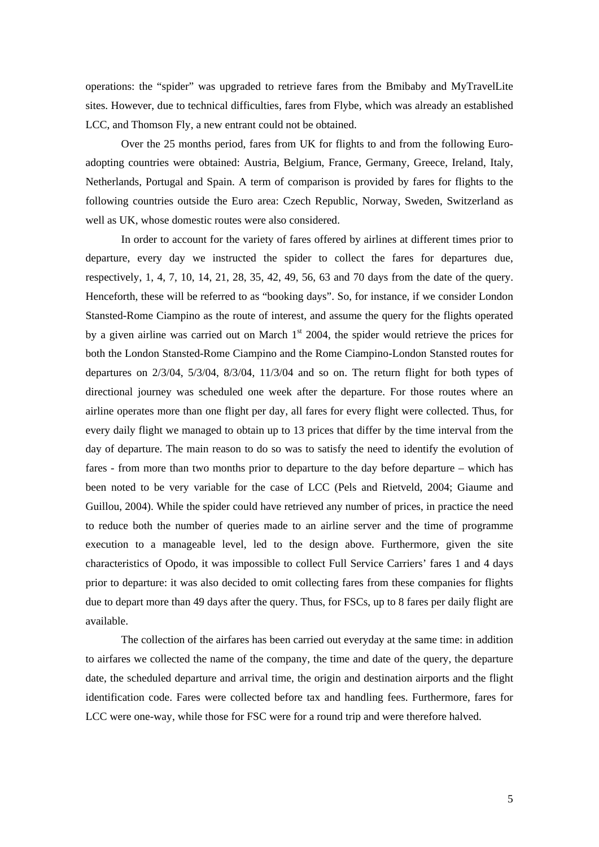operations: the "spider" was upgraded to retrieve fares from the Bmibaby and MyTravelLite sites. However, due to technical difficulties, fares from Flybe, which was already an established LCC, and Thomson Fly, a new entrant could not be obtained.

Over the 25 months period, fares from UK for flights to and from the following Euroadopting countries were obtained: Austria, Belgium, France, Germany, Greece, Ireland, Italy, Netherlands, Portugal and Spain. A term of comparison is provided by fares for flights to the following countries outside the Euro area: Czech Republic, Norway, Sweden, Switzerland as well as UK, whose domestic routes were also considered.

In order to account for the variety of fares offered by airlines at different times prior to departure, every day we instructed the spider to collect the fares for departures due, respectively, 1, 4, 7, 10, 14, 21, 28, 35, 42, 49, 56, 63 and 70 days from the date of the query. Henceforth, these will be referred to as "booking days". So, for instance, if we consider London Stansted-Rome Ciampino as the route of interest, and assume the query for the flights operated by a given airline was carried out on March  $1<sup>st</sup>$  2004, the spider would retrieve the prices for both the London Stansted-Rome Ciampino and the Rome Ciampino-London Stansted routes for departures on 2/3/04, 5/3/04, 8/3/04, 11/3/04 and so on. The return flight for both types of directional journey was scheduled one week after the departure. For those routes where an airline operates more than one flight per day, all fares for every flight were collected. Thus, for every daily flight we managed to obtain up to 13 prices that differ by the time interval from the day of departure. The main reason to do so was to satisfy the need to identify the evolution of fares - from more than two months prior to departure to the day before departure – which has been noted to be very variable for the case of LCC (Pels and Rietveld, 2004; Giaume and Guillou, 2004). While the spider could have retrieved any number of prices, in practice the need to reduce both the number of queries made to an airline server and the time of programme execution to a manageable level, led to the design above. Furthermore, given the site characteristics of Opodo, it was impossible to collect Full Service Carriers' fares 1 and 4 days prior to departure: it was also decided to omit collecting fares from these companies for flights due to depart more than 49 days after the query. Thus, for FSCs, up to 8 fares per daily flight are available.

The collection of the airfares has been carried out everyday at the same time: in addition to airfares we collected the name of the company, the time and date of the query, the departure date, the scheduled departure and arrival time, the origin and destination airports and the flight identification code. Fares were collected before tax and handling fees. Furthermore, fares for LCC were one-way, while those for FSC were for a round trip and were therefore halved.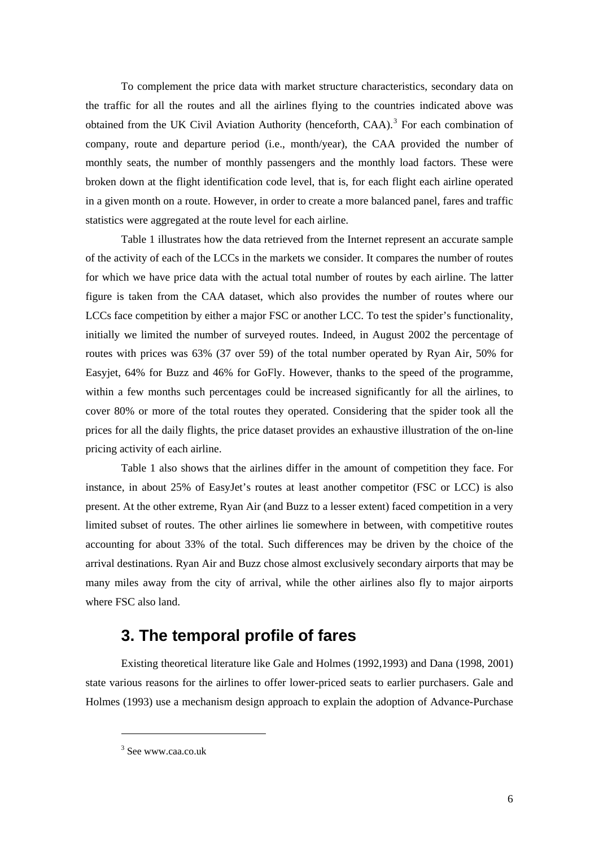To complement the price data with market structure characteristics, secondary data on the traffic for all the routes and all the airlines flying to the countries indicated above was obtained from the UK Civil Aviation Authority (henceforth, CAA).<sup>[3](#page-5-0)</sup> For each combination of company, route and departure period (i.e., month/year), the CAA provided the number of monthly seats, the number of monthly passengers and the monthly load factors. These were broken down at the flight identification code level, that is, for each flight each airline operated in a given month on a route. However, in order to create a more balanced panel, fares and traffic statistics were aggregated at the route level for each airline.

Table 1 illustrates how the data retrieved from the Internet represent an accurate sample of the activity of each of the LCCs in the markets we consider. It compares the number of routes for which we have price data with the actual total number of routes by each airline. The latter figure is taken from the CAA dataset, which also provides the number of routes where our LCCs face competition by either a major FSC or another LCC. To test the spider's functionality, initially we limited the number of surveyed routes. Indeed, in August 2002 the percentage of routes with prices was 63% (37 over 59) of the total number operated by Ryan Air, 50% for Easyjet, 64% for Buzz and 46% for GoFly. However, thanks to the speed of the programme, within a few months such percentages could be increased significantly for all the airlines, to cover 80% or more of the total routes they operated. Considering that the spider took all the prices for all the daily flights, the price dataset provides an exhaustive illustration of the on-line pricing activity of each airline.

Table 1 also shows that the airlines differ in the amount of competition they face. For instance, in about 25% of EasyJet's routes at least another competitor (FSC or LCC) is also present. At the other extreme, Ryan Air (and Buzz to a lesser extent) faced competition in a very limited subset of routes. The other airlines lie somewhere in between, with competitive routes accounting for about 33% of the total. Such differences may be driven by the choice of the arrival destinations. Ryan Air and Buzz chose almost exclusively secondary airports that may be many miles away from the city of arrival, while the other airlines also fly to major airports where FSC also land.

## **3. The temporal profile of fares**

Existing theoretical literature like Gale and Holmes (1992,1993) and Dana (1998, 2001) state various reasons for the airlines to offer lower-priced seats to earlier purchasers. Gale and Holmes (1993) use a mechanism design approach to explain the adoption of Advance-Purchase

<span id="page-5-0"></span><sup>&</sup>lt;sup>3</sup> See www.caa.co.uk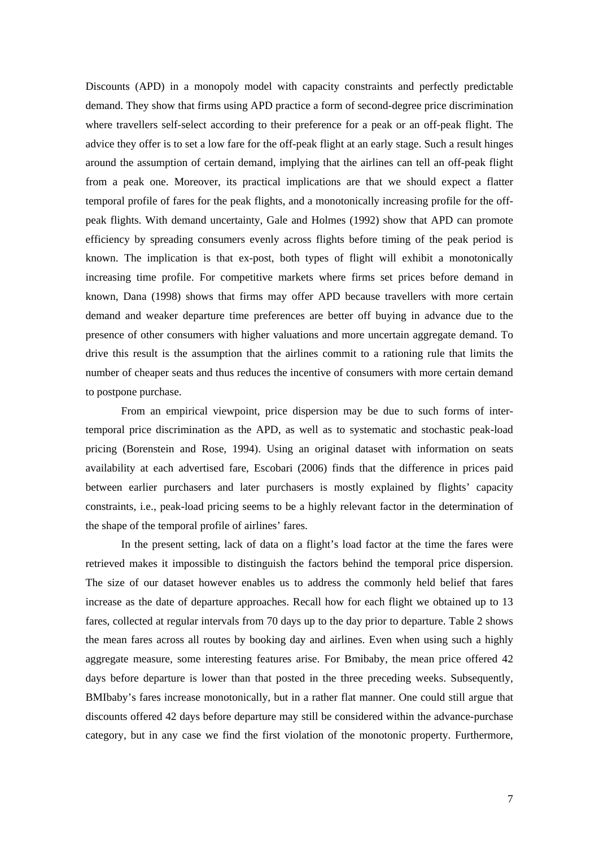Discounts (APD) in a monopoly model with capacity constraints and perfectly predictable demand. They show that firms using APD practice a form of second-degree price discrimination where travellers self-select according to their preference for a peak or an off-peak flight. The advice they offer is to set a low fare for the off-peak flight at an early stage. Such a result hinges around the assumption of certain demand, implying that the airlines can tell an off-peak flight from a peak one. Moreover, its practical implications are that we should expect a flatter temporal profile of fares for the peak flights, and a monotonically increasing profile for the offpeak flights. With demand uncertainty, Gale and Holmes (1992) show that APD can promote efficiency by spreading consumers evenly across flights before timing of the peak period is known. The implication is that ex-post, both types of flight will exhibit a monotonically increasing time profile. For competitive markets where firms set prices before demand in known, Dana (1998) shows that firms may offer APD because travellers with more certain demand and weaker departure time preferences are better off buying in advance due to the presence of other consumers with higher valuations and more uncertain aggregate demand. To drive this result is the assumption that the airlines commit to a rationing rule that limits the number of cheaper seats and thus reduces the incentive of consumers with more certain demand to postpone purchase.

From an empirical viewpoint, price dispersion may be due to such forms of intertemporal price discrimination as the APD, as well as to systematic and stochastic peak-load pricing (Borenstein and Rose, 1994). Using an original dataset with information on seats availability at each advertised fare, Escobari (2006) finds that the difference in prices paid between earlier purchasers and later purchasers is mostly explained by flights' capacity constraints, i.e., peak-load pricing seems to be a highly relevant factor in the determination of the shape of the temporal profile of airlines' fares.

In the present setting, lack of data on a flight's load factor at the time the fares were retrieved makes it impossible to distinguish the factors behind the temporal price dispersion. The size of our dataset however enables us to address the commonly held belief that fares increase as the date of departure approaches. Recall how for each flight we obtained up to 13 fares, collected at regular intervals from 70 days up to the day prior to departure. Table 2 shows the mean fares across all routes by booking day and airlines. Even when using such a highly aggregate measure, some interesting features arise. For Bmibaby, the mean price offered 42 days before departure is lower than that posted in the three preceding weeks. Subsequently, BMIbaby's fares increase monotonically, but in a rather flat manner. One could still argue that discounts offered 42 days before departure may still be considered within the advance-purchase category, but in any case we find the first violation of the monotonic property. Furthermore,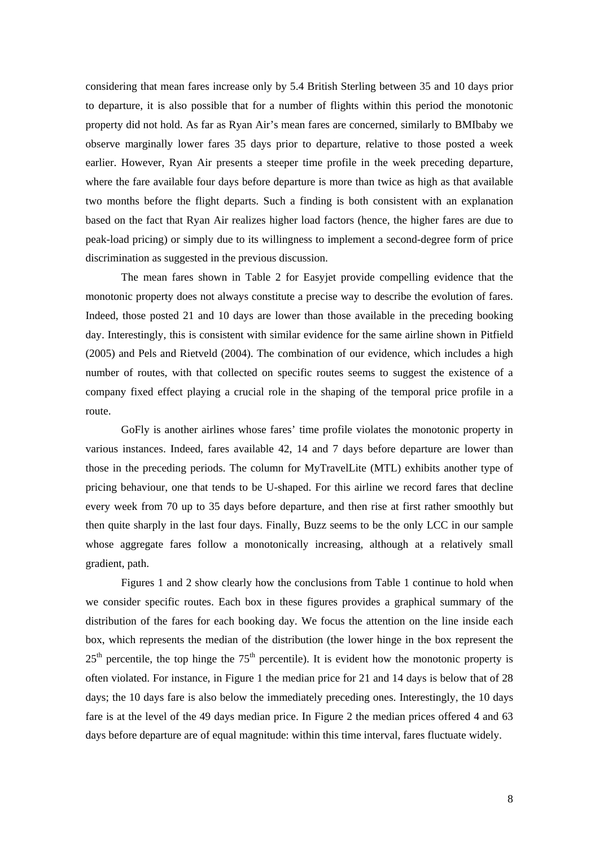considering that mean fares increase only by 5.4 British Sterling between 35 and 10 days prior to departure, it is also possible that for a number of flights within this period the monotonic property did not hold. As far as Ryan Air's mean fares are concerned, similarly to BMIbaby we observe marginally lower fares 35 days prior to departure, relative to those posted a week earlier. However, Ryan Air presents a steeper time profile in the week preceding departure, where the fare available four days before departure is more than twice as high as that available two months before the flight departs. Such a finding is both consistent with an explanation based on the fact that Ryan Air realizes higher load factors (hence, the higher fares are due to peak-load pricing) or simply due to its willingness to implement a second-degree form of price discrimination as suggested in the previous discussion.

The mean fares shown in Table 2 for Easyjet provide compelling evidence that the monotonic property does not always constitute a precise way to describe the evolution of fares. Indeed, those posted 21 and 10 days are lower than those available in the preceding booking day. Interestingly, this is consistent with similar evidence for the same airline shown in Pitfield (2005) and Pels and Rietveld (2004). The combination of our evidence, which includes a high number of routes, with that collected on specific routes seems to suggest the existence of a company fixed effect playing a crucial role in the shaping of the temporal price profile in a route.

GoFly is another airlines whose fares' time profile violates the monotonic property in various instances. Indeed, fares available 42, 14 and 7 days before departure are lower than those in the preceding periods. The column for MyTravelLite (MTL) exhibits another type of pricing behaviour, one that tends to be U-shaped. For this airline we record fares that decline every week from 70 up to 35 days before departure, and then rise at first rather smoothly but then quite sharply in the last four days. Finally, Buzz seems to be the only LCC in our sample whose aggregate fares follow a monotonically increasing, although at a relatively small gradient, path.

Figures 1 and 2 show clearly how the conclusions from Table 1 continue to hold when we consider specific routes. Each box in these figures provides a graphical summary of the distribution of the fares for each booking day. We focus the attention on the line inside each box, which represents the median of the distribution (the lower hinge in the box represent the  $25<sup>th</sup>$  percentile, the top hinge the  $75<sup>th</sup>$  percentile). It is evident how the monotonic property is often violated. For instance, in Figure 1 the median price for 21 and 14 days is below that of 28 days; the 10 days fare is also below the immediately preceding ones. Interestingly, the 10 days fare is at the level of the 49 days median price. In Figure 2 the median prices offered 4 and 63 days before departure are of equal magnitude: within this time interval, fares fluctuate widely.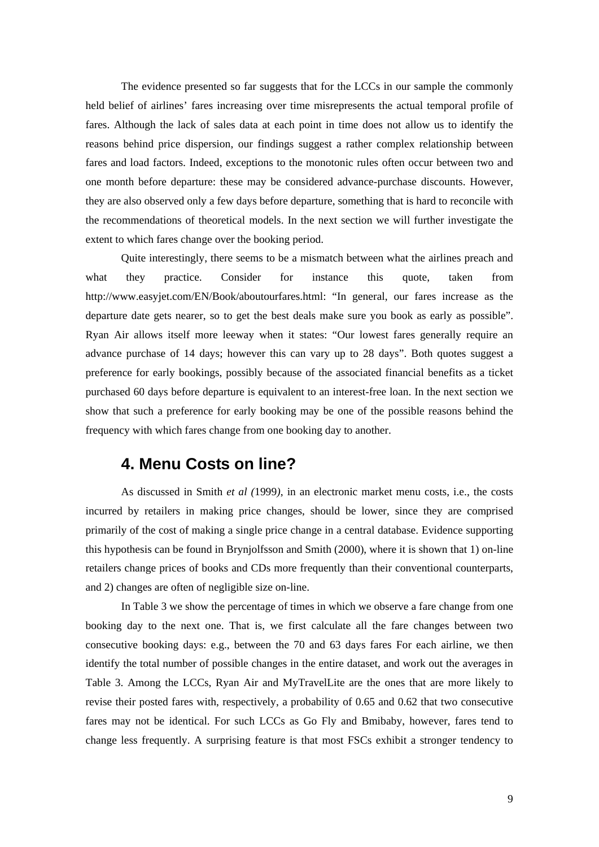The evidence presented so far suggests that for the LCCs in our sample the commonly held belief of airlines' fares increasing over time misrepresents the actual temporal profile of fares. Although the lack of sales data at each point in time does not allow us to identify the reasons behind price dispersion, our findings suggest a rather complex relationship between fares and load factors. Indeed, exceptions to the monotonic rules often occur between two and one month before departure: these may be considered advance-purchase discounts. However, they are also observed only a few days before departure, something that is hard to reconcile with the recommendations of theoretical models. In the next section we will further investigate the extent to which fares change over the booking period.

Quite interestingly, there seems to be a mismatch between what the airlines preach and what they practice. Consider for instance this quote, taken from http://www.easyjet.com/EN/Book/aboutourfares.html: "In general, our fares increase as the departure date gets nearer, so to get the best deals make sure you book as early as possible". Ryan Air allows itself more leeway when it states: "Our lowest fares generally require an advance purchase of 14 days; however this can vary up to 28 days". Both quotes suggest a preference for early bookings, possibly because of the associated financial benefits as a ticket purchased 60 days before departure is equivalent to an interest-free loan. In the next section we show that such a preference for early booking may be one of the possible reasons behind the frequency with which fares change from one booking day to another.

## **4. Menu Costs on line?**

As discussed in Smith *et al (*1999*)*, in an electronic market menu costs, i.e., the costs incurred by retailers in making price changes, should be lower, since they are comprised primarily of the cost of making a single price change in a central database. Evidence supporting this hypothesis can be found in Brynjolfsson and Smith (2000), where it is shown that 1) on-line retailers change prices of books and CDs more frequently than their conventional counterparts, and 2) changes are often of negligible size on-line.

In Table 3 we show the percentage of times in which we observe a fare change from one booking day to the next one. That is, we first calculate all the fare changes between two consecutive booking days: e.g., between the 70 and 63 days fares For each airline, we then identify the total number of possible changes in the entire dataset, and work out the averages in Table 3. Among the LCCs, Ryan Air and MyTravelLite are the ones that are more likely to revise their posted fares with, respectively, a probability of 0.65 and 0.62 that two consecutive fares may not be identical. For such LCCs as Go Fly and Bmibaby, however, fares tend to change less frequently. A surprising feature is that most FSCs exhibit a stronger tendency to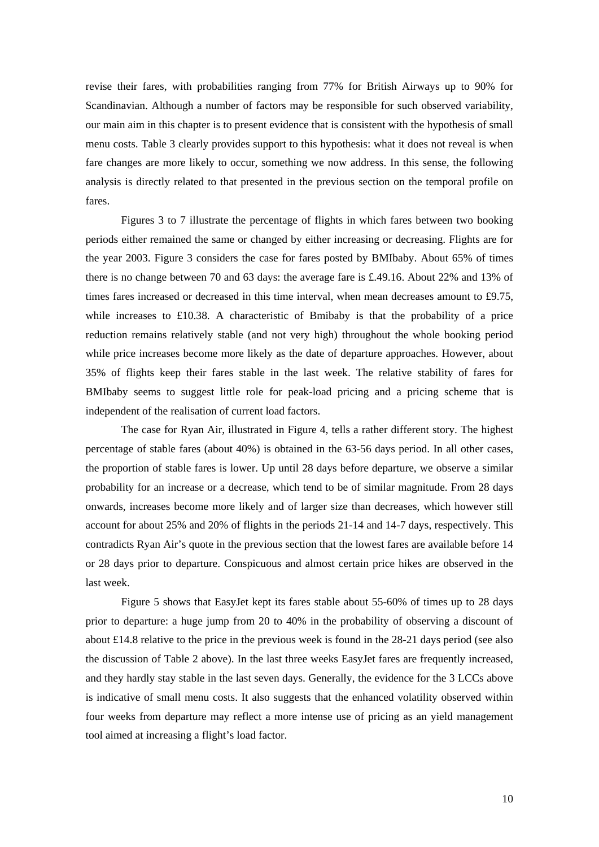revise their fares, with probabilities ranging from 77% for British Airways up to 90% for Scandinavian. Although a number of factors may be responsible for such observed variability, our main aim in this chapter is to present evidence that is consistent with the hypothesis of small menu costs. Table 3 clearly provides support to this hypothesis: what it does not reveal is when fare changes are more likely to occur, something we now address. In this sense, the following analysis is directly related to that presented in the previous section on the temporal profile on fares.

Figures 3 to 7 illustrate the percentage of flights in which fares between two booking periods either remained the same or changed by either increasing or decreasing. Flights are for the year 2003. Figure 3 considers the case for fares posted by BMIbaby. About 65% of times there is no change between 70 and 63 days: the average fare is £.49.16. About 22% and 13% of times fares increased or decreased in this time interval, when mean decreases amount to  $\text{\textsterling}9.75$ , while increases to  $\text{\pounds}10.38$ . A characteristic of Bmibaby is that the probability of a price reduction remains relatively stable (and not very high) throughout the whole booking period while price increases become more likely as the date of departure approaches. However, about 35% of flights keep their fares stable in the last week. The relative stability of fares for BMIbaby seems to suggest little role for peak-load pricing and a pricing scheme that is independent of the realisation of current load factors.

The case for Ryan Air, illustrated in Figure 4, tells a rather different story. The highest percentage of stable fares (about 40%) is obtained in the 63-56 days period. In all other cases, the proportion of stable fares is lower. Up until 28 days before departure, we observe a similar probability for an increase or a decrease, which tend to be of similar magnitude. From 28 days onwards, increases become more likely and of larger size than decreases, which however still account for about 25% and 20% of flights in the periods 21-14 and 14-7 days, respectively. This contradicts Ryan Air's quote in the previous section that the lowest fares are available before 14 or 28 days prior to departure. Conspicuous and almost certain price hikes are observed in the last week.

Figure 5 shows that EasyJet kept its fares stable about 55-60% of times up to 28 days prior to departure: a huge jump from 20 to 40% in the probability of observing a discount of about £14.8 relative to the price in the previous week is found in the 28-21 days period (see also the discussion of Table 2 above). In the last three weeks EasyJet fares are frequently increased, and they hardly stay stable in the last seven days. Generally, the evidence for the 3 LCCs above is indicative of small menu costs. It also suggests that the enhanced volatility observed within four weeks from departure may reflect a more intense use of pricing as an yield management tool aimed at increasing a flight's load factor.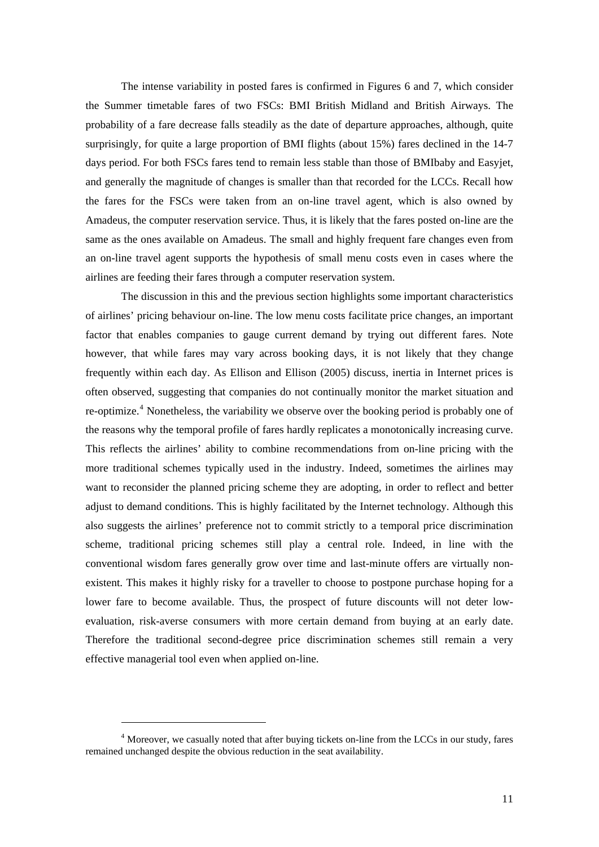The intense variability in posted fares is confirmed in Figures 6 and 7, which consider the Summer timetable fares of two FSCs: BMI British Midland and British Airways. The probability of a fare decrease falls steadily as the date of departure approaches, although, quite surprisingly, for quite a large proportion of BMI flights (about 15%) fares declined in the 14-7 days period. For both FSCs fares tend to remain less stable than those of BMIbaby and Easyjet, and generally the magnitude of changes is smaller than that recorded for the LCCs. Recall how the fares for the FSCs were taken from an on-line travel agent, which is also owned by Amadeus, the computer reservation service. Thus, it is likely that the fares posted on-line are the same as the ones available on Amadeus. The small and highly frequent fare changes even from an on-line travel agent supports the hypothesis of small menu costs even in cases where the airlines are feeding their fares through a computer reservation system.

The discussion in this and the previous section highlights some important characteristics of airlines' pricing behaviour on-line. The low menu costs facilitate price changes, an important factor that enables companies to gauge current demand by trying out different fares. Note however, that while fares may vary across booking days, it is not likely that they change frequently within each day. As Ellison and Ellison (2005) discuss, inertia in Internet prices is often observed, suggesting that companies do not continually monitor the market situation and re-optimize.<sup>[4](#page-10-0)</sup> Nonetheless, the variability we observe over the booking period is probably one of the reasons why the temporal profile of fares hardly replicates a monotonically increasing curve. This reflects the airlines' ability to combine recommendations from on-line pricing with the more traditional schemes typically used in the industry. Indeed, sometimes the airlines may want to reconsider the planned pricing scheme they are adopting, in order to reflect and better adjust to demand conditions. This is highly facilitated by the Internet technology. Although this also suggests the airlines' preference not to commit strictly to a temporal price discrimination scheme, traditional pricing schemes still play a central role. Indeed, in line with the conventional wisdom fares generally grow over time and last-minute offers are virtually nonexistent. This makes it highly risky for a traveller to choose to postpone purchase hoping for a lower fare to become available. Thus, the prospect of future discounts will not deter lowevaluation, risk-averse consumers with more certain demand from buying at an early date. Therefore the traditional second-degree price discrimination schemes still remain a very effective managerial tool even when applied on-line.

<span id="page-10-0"></span><sup>&</sup>lt;sup>4</sup> Moreover, we casually noted that after buying tickets on-line from the LCCs in our study, fares remained unchanged despite the obvious reduction in the seat availability.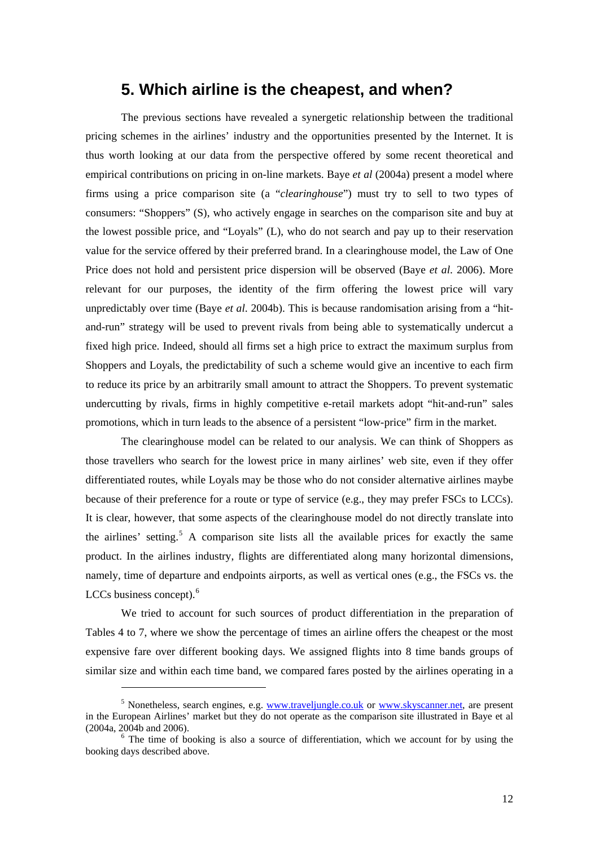## **5. Which airline is the cheapest, and when?**

The previous sections have revealed a synergetic relationship between the traditional pricing schemes in the airlines' industry and the opportunities presented by the Internet. It is thus worth looking at our data from the perspective offered by some recent theoretical and empirical contributions on pricing in on-line markets. Baye *et al* (2004a) present a model where firms using a price comparison site (a "*clearinghouse*") must try to sell to two types of consumers: "Shoppers" (S), who actively engage in searches on the comparison site and buy at the lowest possible price, and "Loyals" (L), who do not search and pay up to their reservation value for the service offered by their preferred brand. In a clearinghouse model, the Law of One Price does not hold and persistent price dispersion will be observed (Baye *et al*. 2006). More relevant for our purposes, the identity of the firm offering the lowest price will vary unpredictably over time (Baye *et al*. 2004b). This is because randomisation arising from a "hitand-run" strategy will be used to prevent rivals from being able to systematically undercut a fixed high price. Indeed, should all firms set a high price to extract the maximum surplus from Shoppers and Loyals, the predictability of such a scheme would give an incentive to each firm to reduce its price by an arbitrarily small amount to attract the Shoppers. To prevent systematic undercutting by rivals, firms in highly competitive e-retail markets adopt "hit-and-run" sales promotions, which in turn leads to the absence of a persistent "low-price" firm in the market.

The clearinghouse model can be related to our analysis. We can think of Shoppers as those travellers who search for the lowest price in many airlines' web site, even if they offer differentiated routes, while Loyals may be those who do not consider alternative airlines maybe because of their preference for a route or type of service (e.g., they may prefer FSCs to LCCs). It is clear, however, that some aspects of the clearinghouse model do not directly translate into the airlines' setting.<sup>[5](#page-11-0)</sup> A comparison site lists all the available prices for exactly the same product. In the airlines industry, flights are differentiated along many horizontal dimensions, namely, time of departure and endpoints airports, as well as vertical ones (e.g., the FSCs vs. the LCCs business concept). $6$ 

We tried to account for such sources of product differentiation in the preparation of Tables 4 to 7, where we show the percentage of times an airline offers the cheapest or the most expensive fare over different booking days. We assigned flights into 8 time bands groups of similar size and within each time band, we compared fares posted by the airlines operating in a

<span id="page-11-0"></span><sup>&</sup>lt;sup>5</sup> Nonetheless, search engines, e.g. **[www.traveljungle.co.uk](http://www.traveljungle.co.uk/)** or **www.skyscanner.net**, are present in the European Airlines' market but they do not operate as the comparison site illustrated in Baye et al (2004a, 2004b and 2006).

<span id="page-11-1"></span> $6$  The time of booking is also a source of differentiation, which we account for by using the booking days described above.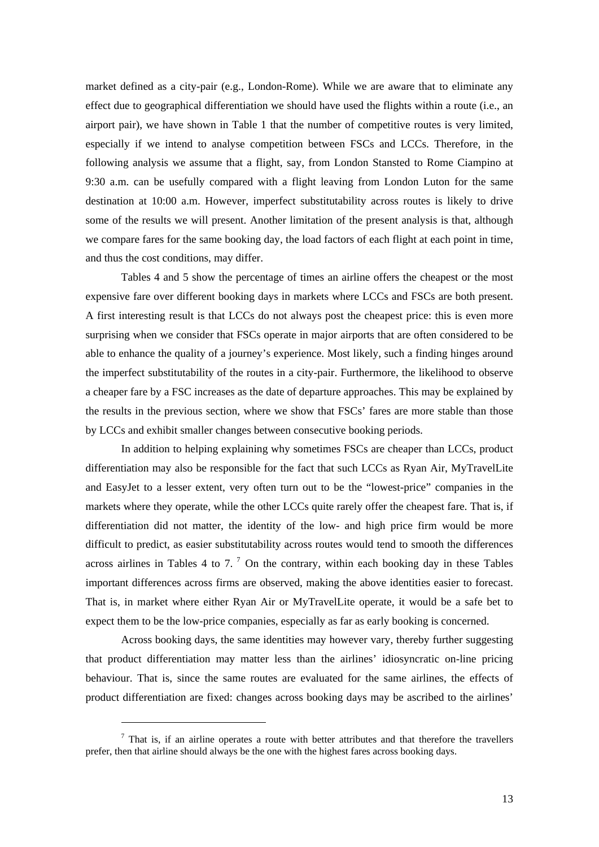market defined as a city-pair (e.g., London-Rome). While we are aware that to eliminate any effect due to geographical differentiation we should have used the flights within a route (i.e., an airport pair), we have shown in Table 1 that the number of competitive routes is very limited, especially if we intend to analyse competition between FSCs and LCCs. Therefore, in the following analysis we assume that a flight, say, from London Stansted to Rome Ciampino at 9:30 a.m. can be usefully compared with a flight leaving from London Luton for the same destination at 10:00 a.m. However, imperfect substitutability across routes is likely to drive some of the results we will present. Another limitation of the present analysis is that, although we compare fares for the same booking day, the load factors of each flight at each point in time, and thus the cost conditions, may differ.

Tables 4 and 5 show the percentage of times an airline offers the cheapest or the most expensive fare over different booking days in markets where LCCs and FSCs are both present. A first interesting result is that LCCs do not always post the cheapest price: this is even more surprising when we consider that FSCs operate in major airports that are often considered to be able to enhance the quality of a journey's experience. Most likely, such a finding hinges around the imperfect substitutability of the routes in a city-pair. Furthermore, the likelihood to observe a cheaper fare by a FSC increases as the date of departure approaches. This may be explained by the results in the previous section, where we show that FSCs' fares are more stable than those by LCCs and exhibit smaller changes between consecutive booking periods.

In addition to helping explaining why sometimes FSCs are cheaper than LCCs, product differentiation may also be responsible for the fact that such LCCs as Ryan Air, MyTravelLite and EasyJet to a lesser extent, very often turn out to be the "lowest-price" companies in the markets where they operate, while the other LCCs quite rarely offer the cheapest fare. That is, if differentiation did not matter, the identity of the low- and high price firm would be more difficult to predict, as easier substitutability across routes would tend to smooth the differences across airlines in Tables 4 to [7](#page-12-0).<sup>7</sup> On the contrary, within each booking day in these Tables important differences across firms are observed, making the above identities easier to forecast. That is, in market where either Ryan Air or MyTravelLite operate, it would be a safe bet to expect them to be the low-price companies, especially as far as early booking is concerned.

Across booking days, the same identities may however vary, thereby further suggesting that product differentiation may matter less than the airlines' idiosyncratic on-line pricing behaviour. That is, since the same routes are evaluated for the same airlines, the effects of product differentiation are fixed: changes across booking days may be ascribed to the airlines'

<span id="page-12-0"></span> $<sup>7</sup>$  That is, if an airline operates a route with better attributes and that therefore the travellers</sup> prefer, then that airline should always be the one with the highest fares across booking days.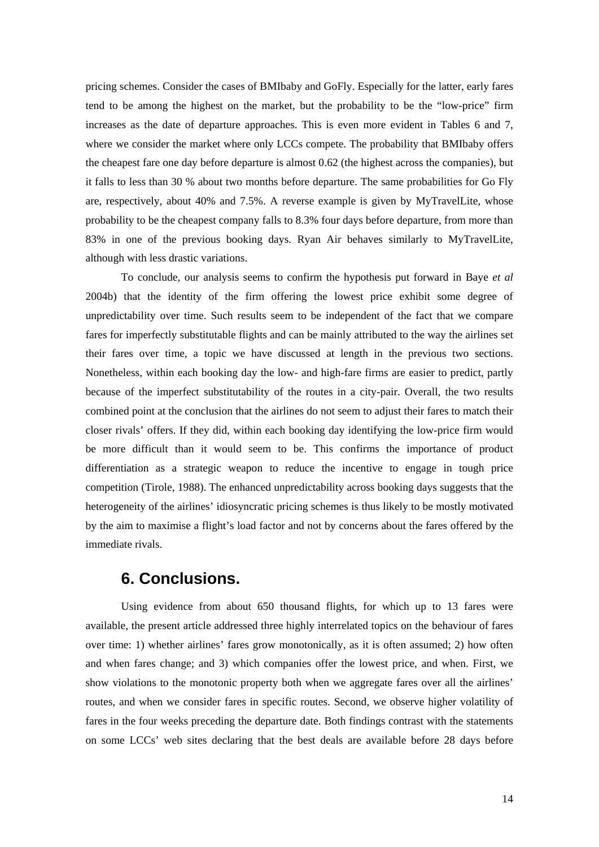pricing schemes. Consider the cases of BMIbaby and GoFly. Especially for the latter, early fares tend to be among the highest on the market, but the probability to be the "low-price" firm increases as the date of departure approaches. This is even more evident in Tables 6 and 7, where we consider the market where only LCCs compete. The probability that BMIbaby offers the cheapest fare one day before departure is almost 0.62 (the highest across the companies), but it falls to less than 30 % about two months before departure. The same probabilities for Go Fly are, respectively, about 40% and 7.5%. A reverse example is given by MyTravelLite, whose probability to be the cheapest company falls to 8.3% four days before departure, from more than 83% in one of the previous booking days. Ryan Air behaves similarly to MyTravelLite, although with less drastic variations.

To conclude, our analysis seems to confirm the hypothesis put forward in Baye *et al*  2004b) that the identity of the firm offering the lowest price exhibit some degree of unpredictability over time. Such results seem to be independent of the fact that we compare fares for imperfectly substitutable flights and can be mainly attributed to the way the airlines set their fares over time, a topic we have discussed at length in the previous two sections. Nonetheless, within each booking day the low- and high-fare firms are easier to predict, partly because of the imperfect substitutability of the routes in a city-pair. Overall, the two results combined point at the conclusion that the airlines do not seem to adjust their fares to match their closer rivals' offers. If they did, within each booking day identifying the low-price firm would be more difficult than it would seem to be. This confirms the importance of product differentiation as a strategic weapon to reduce the incentive to engage in tough price competition (Tirole, 1988). The enhanced unpredictability across booking days suggests that the heterogeneity of the airlines' idiosyncratic pricing schemes is thus likely to be mostly motivated by the aim to maximise a flight's load factor and not by concerns about the fares offered by the immediate rivals.

## **6. Conclusions.**

Using evidence from about 650 thousand flights, for which up to 13 fares were available, the present article addressed three highly interrelated topics on the behaviour of fares over time: 1) whether airlines' fares grow monotonically, as it is often assumed; 2) how often and when fares change; and 3) which companies offer the lowest price, and when. First, we show violations to the monotonic property both when we aggregate fares over all the airlines' routes, and when we consider fares in specific routes. Second, we observe higher volatility of fares in the four weeks preceding the departure date. Both findings contrast with the statements on some LCCs' web sites declaring that the best deals are available before 28 days before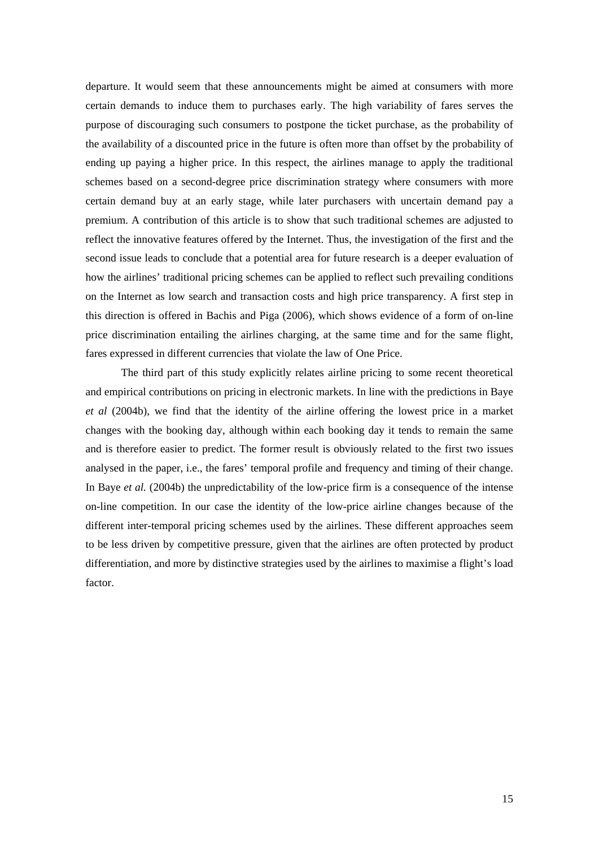departure. It would seem that these announcements might be aimed at consumers with more certain demands to induce them to purchases early. The high variability of fares serves the purpose of discouraging such consumers to postpone the ticket purchase, as the probability of the availability of a discounted price in the future is often more than offset by the probability of ending up paying a higher price. In this respect, the airlines manage to apply the traditional schemes based on a second-degree price discrimination strategy where consumers with more certain demand buy at an early stage, while later purchasers with uncertain demand pay a premium. A contribution of this article is to show that such traditional schemes are adjusted to reflect the innovative features offered by the Internet. Thus, the investigation of the first and the second issue leads to conclude that a potential area for future research is a deeper evaluation of how the airlines' traditional pricing schemes can be applied to reflect such prevailing conditions on the Internet as low search and transaction costs and high price transparency. A first step in this direction is offered in Bachis and Piga (2006), which shows evidence of a form of on-line price discrimination entailing the airlines charging, at the same time and for the same flight, fares expressed in different currencies that violate the law of One Price.

The third part of this study explicitly relates airline pricing to some recent theoretical and empirical contributions on pricing in electronic markets. In line with the predictions in Baye *et al* (2004b), we find that the identity of the airline offering the lowest price in a market changes with the booking day, although within each booking day it tends to remain the same and is therefore easier to predict. The former result is obviously related to the first two issues analysed in the paper, i.e., the fares' temporal profile and frequency and timing of their change. In Baye *et al.* (2004b) the unpredictability of the low-price firm is a consequence of the intense on-line competition. In our case the identity of the low-price airline changes because of the different inter-temporal pricing schemes used by the airlines. These different approaches seem to be less driven by competitive pressure, given that the airlines are often protected by product differentiation, and more by distinctive strategies used by the airlines to maximise a flight's load factor.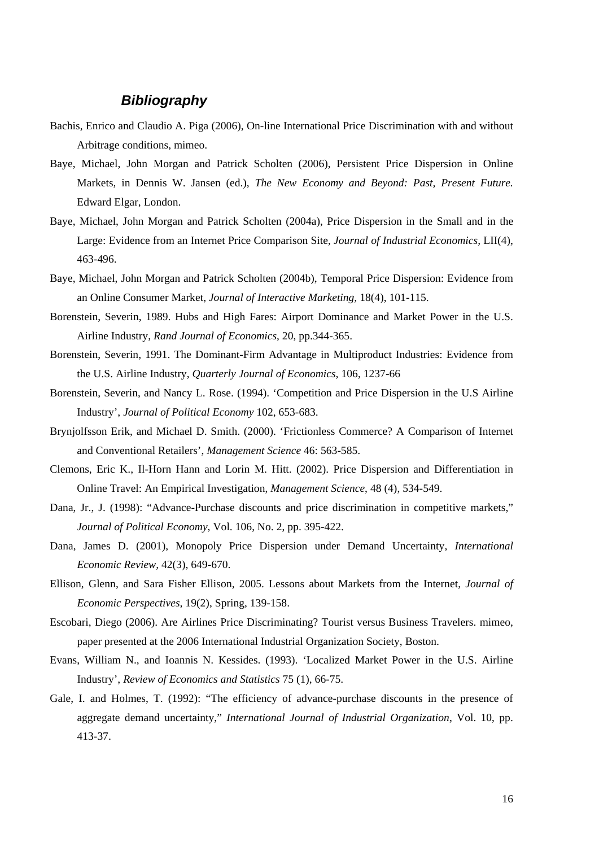### *Bibliography*

- Bachis, Enrico and Claudio A. Piga (2006), On-line International Price Discrimination with and without Arbitrage conditions, mimeo.
- Baye, Michael, John Morgan and Patrick Scholten (2006), Persistent Price Dispersion in Online Markets, in Dennis W. Jansen (ed.), *The New Economy and Beyond: Past, Present Future.*  Edward Elgar, London.
- Baye, Michael, John Morgan and Patrick Scholten (2004a), Price Dispersion in the Small and in the Large: Evidence from an Internet Price Comparison Site, *Journal of Industrial Economics,* LII(4), 463-496.
- Baye, Michael, John Morgan and Patrick Scholten (2004b), Temporal Price Dispersion: Evidence from an Online Consumer Market, *Journal of Interactive Marketing,* 18(4), 101-115.
- Borenstein, Severin, 1989. Hubs and High Fares: Airport Dominance and Market Power in the U.S. Airline Industry, *Rand Journal of Economics*, 20, pp.344-365.
- Borenstein, Severin, 1991. The Dominant-Firm Advantage in Multiproduct Industries: Evidence from the U.S. Airline Industry, *Quarterly Journal of Economics,* 106, 1237-66
- Borenstein, Severin, and Nancy L. Rose. (1994). 'Competition and Price Dispersion in the U.S Airline Industry', *Journal of Political Economy* 102, 653-683.
- Brynjolfsson Erik, and Michael D. Smith. (2000). 'Frictionless Commerce? A Comparison of Internet and Conventional Retailers', *Management Science* 46: 563-585.
- Clemons, Eric K., Il-Horn Hann and Lorin M. Hitt. (2002). Price Dispersion and Differentiation in Online Travel: An Empirical Investigation, *Management Science*, 48 (4), 534-549.
- Dana, Jr., J. (1998): "Advance-Purchase discounts and price discrimination in competitive markets," *Journal of Political Economy*, Vol. 106, No. 2, pp. 395-422.
- Dana, James D. (2001), Monopoly Price Dispersion under Demand Uncertainty, *International Economic Review,* 42(3), 649-670.
- Ellison, Glenn, and Sara Fisher Ellison, 2005. Lessons about Markets from the Internet, *Journal of Economic Perspectives,* 19(2), Spring, 139-158.
- Escobari, Diego (2006). Are Airlines Price Discriminating? Tourist versus Business Travelers. mimeo, paper presented at the 2006 International Industrial Organization Society, Boston.
- Evans, William N., and Ioannis N. Kessides. (1993). 'Localized Market Power in the U.S. Airline Industry', *Review of Economics and Statistics* 75 (1), 66-75.
- Gale, I. and Holmes, T. (1992): "The efficiency of advance-purchase discounts in the presence of aggregate demand uncertainty," *International Journal of Industrial Organization*, Vol. 10, pp. 413-37.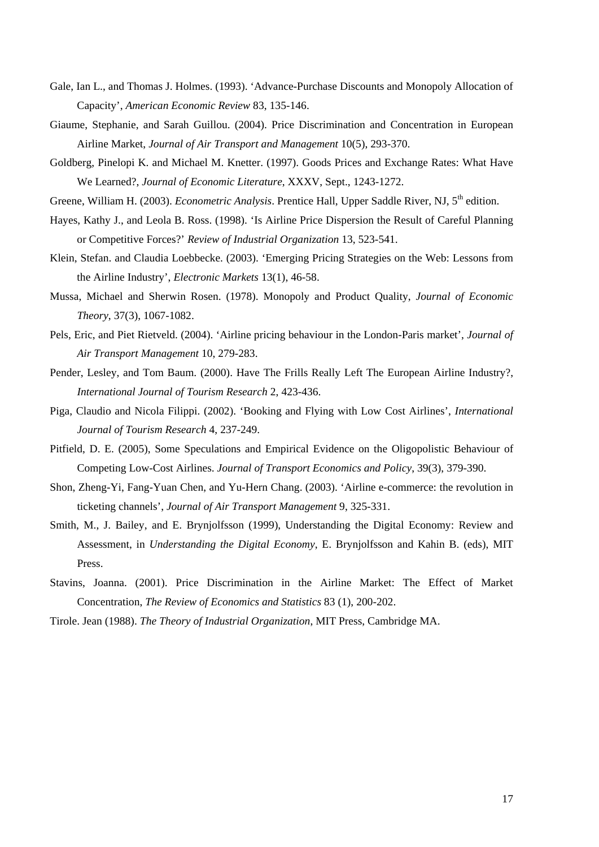- Gale, Ian L., and Thomas J. Holmes. (1993). 'Advance-Purchase Discounts and Monopoly Allocation of Capacity', *American Economic Review* 83, 135-146.
- Giaume, Stephanie, and Sarah Guillou. (2004). Price Discrimination and Concentration in European Airline Market, *Journal of Air Transport and Management* 10(5), 293-370.
- Goldberg, Pinelopi K. and Michael M. Knetter. (1997). Goods Prices and Exchange Rates: What Have We Learned?, *Journal of Economic Literature*, XXXV, Sept., 1243-1272.

Greene, William H. (2003). *Econometric Analysis*. Prentice Hall, Upper Saddle River, NJ, 5<sup>th</sup> edition.

- Hayes, Kathy J., and Leola B. Ross. (1998). 'Is Airline Price Dispersion the Result of Careful Planning or Competitive Forces?' *Review of Industrial Organization* 13, 523-541.
- Klein, Stefan. and Claudia Loebbecke. (2003). 'Emerging Pricing Strategies on the Web: Lessons from the Airline Industry', *Electronic Markets* 13(1), 46-58.
- Mussa, Michael and Sherwin Rosen. (1978). Monopoly and Product Quality, *Journal of Economic Theory*, 37(3), 1067-1082.
- Pels, Eric, and Piet Rietveld. (2004). 'Airline pricing behaviour in the London-Paris market', *Journal of Air Transport Management* 10, 279-283.
- Pender, Lesley, and Tom Baum. (2000). Have The Frills Really Left The European Airline Industry?, *International Journal of Tourism Research* 2, 423-436.
- Piga, Claudio and Nicola Filippi. (2002). 'Booking and Flying with Low Cost Airlines', *International Journal of Tourism Research* 4, 237-249.
- Pitfield, D. E. (2005), Some Speculations and Empirical Evidence on the Oligopolistic Behaviour of Competing Low-Cost Airlines. *Journal of Transport Economics and Policy*, 39(3), 379-390.
- Shon, Zheng-Yi, Fang-Yuan Chen, and Yu-Hern Chang. (2003). 'Airline e-commerce: the revolution in ticketing channels', *Journal of Air Transport Management* 9, 325-331.
- Smith, M., J. Bailey, and E. Brynjolfsson (1999), Understanding the Digital Economy: Review and Assessment, in *Understanding the Digital Economy*, E. Brynjolfsson and Kahin B. (eds), MIT Press.
- Stavins, Joanna. (2001). Price Discrimination in the Airline Market: The Effect of Market Concentration, *The Review of Economics and Statistics* 83 (1), 200-202.
- Tirole. Jean (1988). *The Theory of Industrial Organization*, MIT Press, Cambridge MA.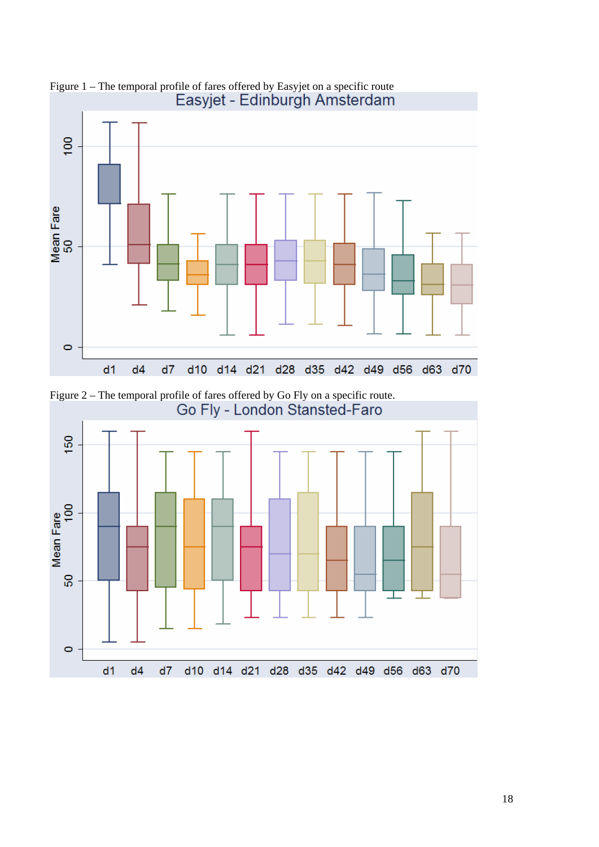

Figure 1 – The temporal profile of fares offered by Easyjet on a specific route<br>Easyjet - Edinburgh Amsterdam



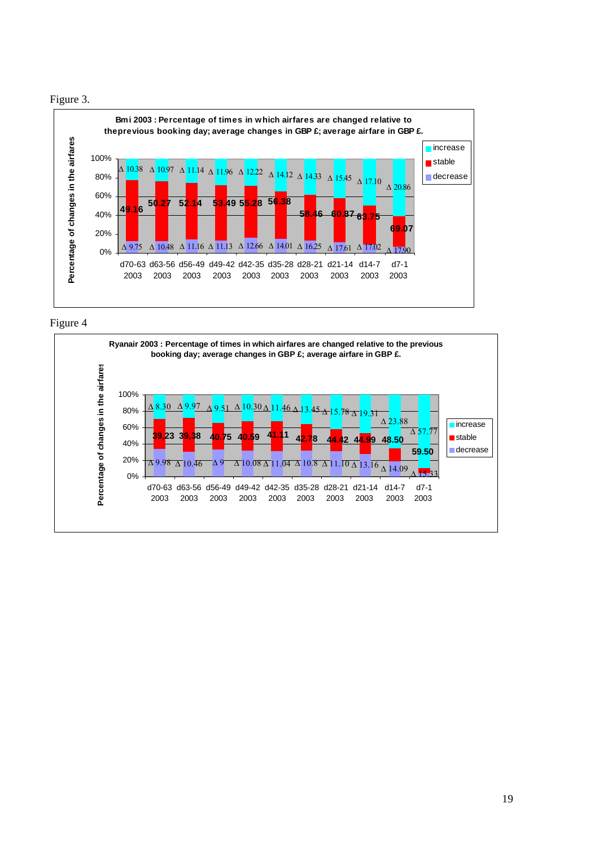





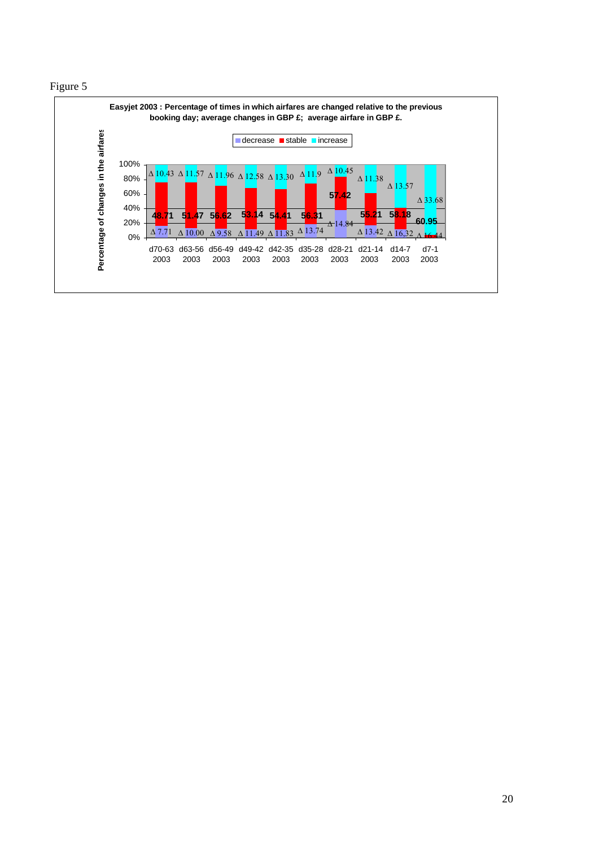

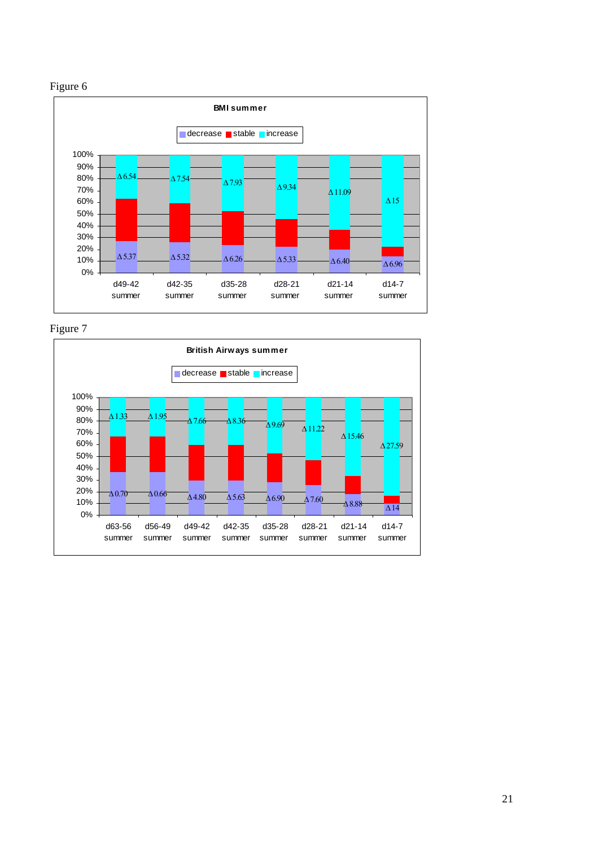





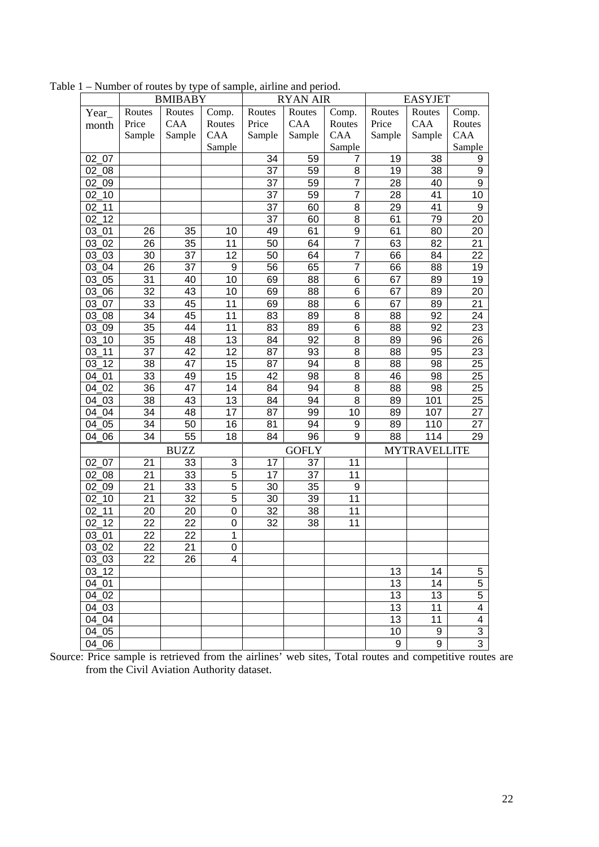| Routes<br>Routes<br>Routes<br>Routes<br>Comp.<br>Routes<br>Comp.<br>Routes<br>Comp.<br>Year_<br>CAA<br>CAA<br>CAA<br>Price<br>Price<br>Routes<br>Routes<br>Price<br>Routes<br>month<br>CAA<br>CAA<br>Sample<br>CAA<br>Sample<br>Sample<br>Sample<br>Sample<br>Sample<br>Sample<br>Sample<br>Sample<br>07<br>34<br>59<br>02<br>7<br>19<br>38<br>9<br>08<br>37<br>8<br>9<br>59<br>19<br>38<br>02<br>$\overline{7}$<br>9<br>09<br>37<br>59<br>28<br>40<br>02<br>$\overline{7}$<br>$\overline{10}$<br>37<br>59<br>28<br>41<br>10<br>02<br>11<br>37<br>8<br>29<br>41<br>02<br>60<br>9<br>12<br>8<br>37<br>61<br>79<br>02<br>60<br>20<br>9<br>01<br>61<br>61<br>03<br>49<br>80<br>20<br>26<br>35<br>10<br>$\overline{7}$<br>02<br>50<br>64<br>63<br>82<br>03<br>26<br>35<br>11<br>21<br>$\overline{7}$<br>03<br>30<br>12<br>50<br>66<br>84<br>03<br>37<br>64<br>22<br>$\overline{7}$<br>04<br>26<br>37<br>9<br>56<br>66<br>88<br>03<br>65<br>19<br>05<br>31<br>10<br>6<br>67<br>89<br>40<br>69<br>88<br>19<br>03<br>6<br>06<br>32<br>10<br>67<br>89<br>03<br>43<br>69<br>88<br>20<br>6<br>07<br>33<br>11<br>67<br>89<br>03<br>45<br>69<br>88<br>21<br>8<br>08<br>34<br>45<br>11<br>92<br>03<br>83<br>89<br>88<br>24<br>6<br>09<br>35<br>44<br>11<br>83<br>92<br>03<br>89<br>88<br>23<br>10<br>8<br>35<br>48<br>13<br>96<br>03<br>84<br>92<br>89<br>26<br>8<br>11<br>37<br>42<br>12<br>87<br>03<br>93<br>88<br>95<br>23<br>12<br>8<br>38<br>47<br>15<br>98<br>03<br>87<br>94<br>88<br>25<br>8<br>01<br>33<br>15<br>42<br>46<br>04<br>49<br>98<br>98<br>25<br>8<br>02<br>36<br>47<br>14<br>84<br>98<br>04<br>94<br>88<br>25<br>8<br>03<br>38<br>13<br>43<br>84<br>94<br>89<br>101<br>25<br>04<br>04<br>34<br>48<br>17<br>87<br>10<br>99<br>89<br>107<br>27<br>04<br>05<br>34<br>16<br>50<br>81<br>94<br>27<br>04<br>9<br>89<br>110 |
|----------------------------------------------------------------------------------------------------------------------------------------------------------------------------------------------------------------------------------------------------------------------------------------------------------------------------------------------------------------------------------------------------------------------------------------------------------------------------------------------------------------------------------------------------------------------------------------------------------------------------------------------------------------------------------------------------------------------------------------------------------------------------------------------------------------------------------------------------------------------------------------------------------------------------------------------------------------------------------------------------------------------------------------------------------------------------------------------------------------------------------------------------------------------------------------------------------------------------------------------------------------------------------------------------------------------------------------------------------------------------------------------------------------------------------------------------------------------------------------------------------------------------------------------------------------------------------------------------------------------------------------------------------------------------------------------------------------------------------------------------------------------------------------------------------------------------|
|                                                                                                                                                                                                                                                                                                                                                                                                                                                                                                                                                                                                                                                                                                                                                                                                                                                                                                                                                                                                                                                                                                                                                                                                                                                                                                                                                                                                                                                                                                                                                                                                                                                                                                                                                                                                                            |
|                                                                                                                                                                                                                                                                                                                                                                                                                                                                                                                                                                                                                                                                                                                                                                                                                                                                                                                                                                                                                                                                                                                                                                                                                                                                                                                                                                                                                                                                                                                                                                                                                                                                                                                                                                                                                            |
|                                                                                                                                                                                                                                                                                                                                                                                                                                                                                                                                                                                                                                                                                                                                                                                                                                                                                                                                                                                                                                                                                                                                                                                                                                                                                                                                                                                                                                                                                                                                                                                                                                                                                                                                                                                                                            |
|                                                                                                                                                                                                                                                                                                                                                                                                                                                                                                                                                                                                                                                                                                                                                                                                                                                                                                                                                                                                                                                                                                                                                                                                                                                                                                                                                                                                                                                                                                                                                                                                                                                                                                                                                                                                                            |
|                                                                                                                                                                                                                                                                                                                                                                                                                                                                                                                                                                                                                                                                                                                                                                                                                                                                                                                                                                                                                                                                                                                                                                                                                                                                                                                                                                                                                                                                                                                                                                                                                                                                                                                                                                                                                            |
|                                                                                                                                                                                                                                                                                                                                                                                                                                                                                                                                                                                                                                                                                                                                                                                                                                                                                                                                                                                                                                                                                                                                                                                                                                                                                                                                                                                                                                                                                                                                                                                                                                                                                                                                                                                                                            |
|                                                                                                                                                                                                                                                                                                                                                                                                                                                                                                                                                                                                                                                                                                                                                                                                                                                                                                                                                                                                                                                                                                                                                                                                                                                                                                                                                                                                                                                                                                                                                                                                                                                                                                                                                                                                                            |
|                                                                                                                                                                                                                                                                                                                                                                                                                                                                                                                                                                                                                                                                                                                                                                                                                                                                                                                                                                                                                                                                                                                                                                                                                                                                                                                                                                                                                                                                                                                                                                                                                                                                                                                                                                                                                            |
|                                                                                                                                                                                                                                                                                                                                                                                                                                                                                                                                                                                                                                                                                                                                                                                                                                                                                                                                                                                                                                                                                                                                                                                                                                                                                                                                                                                                                                                                                                                                                                                                                                                                                                                                                                                                                            |
|                                                                                                                                                                                                                                                                                                                                                                                                                                                                                                                                                                                                                                                                                                                                                                                                                                                                                                                                                                                                                                                                                                                                                                                                                                                                                                                                                                                                                                                                                                                                                                                                                                                                                                                                                                                                                            |
|                                                                                                                                                                                                                                                                                                                                                                                                                                                                                                                                                                                                                                                                                                                                                                                                                                                                                                                                                                                                                                                                                                                                                                                                                                                                                                                                                                                                                                                                                                                                                                                                                                                                                                                                                                                                                            |
|                                                                                                                                                                                                                                                                                                                                                                                                                                                                                                                                                                                                                                                                                                                                                                                                                                                                                                                                                                                                                                                                                                                                                                                                                                                                                                                                                                                                                                                                                                                                                                                                                                                                                                                                                                                                                            |
|                                                                                                                                                                                                                                                                                                                                                                                                                                                                                                                                                                                                                                                                                                                                                                                                                                                                                                                                                                                                                                                                                                                                                                                                                                                                                                                                                                                                                                                                                                                                                                                                                                                                                                                                                                                                                            |
|                                                                                                                                                                                                                                                                                                                                                                                                                                                                                                                                                                                                                                                                                                                                                                                                                                                                                                                                                                                                                                                                                                                                                                                                                                                                                                                                                                                                                                                                                                                                                                                                                                                                                                                                                                                                                            |
|                                                                                                                                                                                                                                                                                                                                                                                                                                                                                                                                                                                                                                                                                                                                                                                                                                                                                                                                                                                                                                                                                                                                                                                                                                                                                                                                                                                                                                                                                                                                                                                                                                                                                                                                                                                                                            |
|                                                                                                                                                                                                                                                                                                                                                                                                                                                                                                                                                                                                                                                                                                                                                                                                                                                                                                                                                                                                                                                                                                                                                                                                                                                                                                                                                                                                                                                                                                                                                                                                                                                                                                                                                                                                                            |
|                                                                                                                                                                                                                                                                                                                                                                                                                                                                                                                                                                                                                                                                                                                                                                                                                                                                                                                                                                                                                                                                                                                                                                                                                                                                                                                                                                                                                                                                                                                                                                                                                                                                                                                                                                                                                            |
|                                                                                                                                                                                                                                                                                                                                                                                                                                                                                                                                                                                                                                                                                                                                                                                                                                                                                                                                                                                                                                                                                                                                                                                                                                                                                                                                                                                                                                                                                                                                                                                                                                                                                                                                                                                                                            |
|                                                                                                                                                                                                                                                                                                                                                                                                                                                                                                                                                                                                                                                                                                                                                                                                                                                                                                                                                                                                                                                                                                                                                                                                                                                                                                                                                                                                                                                                                                                                                                                                                                                                                                                                                                                                                            |
|                                                                                                                                                                                                                                                                                                                                                                                                                                                                                                                                                                                                                                                                                                                                                                                                                                                                                                                                                                                                                                                                                                                                                                                                                                                                                                                                                                                                                                                                                                                                                                                                                                                                                                                                                                                                                            |
|                                                                                                                                                                                                                                                                                                                                                                                                                                                                                                                                                                                                                                                                                                                                                                                                                                                                                                                                                                                                                                                                                                                                                                                                                                                                                                                                                                                                                                                                                                                                                                                                                                                                                                                                                                                                                            |
|                                                                                                                                                                                                                                                                                                                                                                                                                                                                                                                                                                                                                                                                                                                                                                                                                                                                                                                                                                                                                                                                                                                                                                                                                                                                                                                                                                                                                                                                                                                                                                                                                                                                                                                                                                                                                            |
|                                                                                                                                                                                                                                                                                                                                                                                                                                                                                                                                                                                                                                                                                                                                                                                                                                                                                                                                                                                                                                                                                                                                                                                                                                                                                                                                                                                                                                                                                                                                                                                                                                                                                                                                                                                                                            |
|                                                                                                                                                                                                                                                                                                                                                                                                                                                                                                                                                                                                                                                                                                                                                                                                                                                                                                                                                                                                                                                                                                                                                                                                                                                                                                                                                                                                                                                                                                                                                                                                                                                                                                                                                                                                                            |
|                                                                                                                                                                                                                                                                                                                                                                                                                                                                                                                                                                                                                                                                                                                                                                                                                                                                                                                                                                                                                                                                                                                                                                                                                                                                                                                                                                                                                                                                                                                                                                                                                                                                                                                                                                                                                            |
|                                                                                                                                                                                                                                                                                                                                                                                                                                                                                                                                                                                                                                                                                                                                                                                                                                                                                                                                                                                                                                                                                                                                                                                                                                                                                                                                                                                                                                                                                                                                                                                                                                                                                                                                                                                                                            |
|                                                                                                                                                                                                                                                                                                                                                                                                                                                                                                                                                                                                                                                                                                                                                                                                                                                                                                                                                                                                                                                                                                                                                                                                                                                                                                                                                                                                                                                                                                                                                                                                                                                                                                                                                                                                                            |
| 9<br>06<br>34<br>55<br>18<br>96<br>04<br>84<br>114<br>29<br>88                                                                                                                                                                                                                                                                                                                                                                                                                                                                                                                                                                                                                                                                                                                                                                                                                                                                                                                                                                                                                                                                                                                                                                                                                                                                                                                                                                                                                                                                                                                                                                                                                                                                                                                                                             |
| <b>BUZZ</b><br><b>GOFLY</b><br><b>MYTRAVELLITE</b>                                                                                                                                                                                                                                                                                                                                                                                                                                                                                                                                                                                                                                                                                                                                                                                                                                                                                                                                                                                                                                                                                                                                                                                                                                                                                                                                                                                                                                                                                                                                                                                                                                                                                                                                                                         |
| 21<br>33<br>3<br>17<br>37<br>02 07<br>11                                                                                                                                                                                                                                                                                                                                                                                                                                                                                                                                                                                                                                                                                                                                                                                                                                                                                                                                                                                                                                                                                                                                                                                                                                                                                                                                                                                                                                                                                                                                                                                                                                                                                                                                                                                   |
| 5<br>33<br>17<br>11<br>02<br>08<br>21<br>37                                                                                                                                                                                                                                                                                                                                                                                                                                                                                                                                                                                                                                                                                                                                                                                                                                                                                                                                                                                                                                                                                                                                                                                                                                                                                                                                                                                                                                                                                                                                                                                                                                                                                                                                                                                |
| $\overline{5}$<br>09<br>21<br>33<br>02<br>30<br>35<br>9                                                                                                                                                                                                                                                                                                                                                                                                                                                                                                                                                                                                                                                                                                                                                                                                                                                                                                                                                                                                                                                                                                                                                                                                                                                                                                                                                                                                                                                                                                                                                                                                                                                                                                                                                                    |
| $\overline{5}$<br>10<br>21<br>32<br>30<br>02<br>39<br>11                                                                                                                                                                                                                                                                                                                                                                                                                                                                                                                                                                                                                                                                                                                                                                                                                                                                                                                                                                                                                                                                                                                                                                                                                                                                                                                                                                                                                                                                                                                                                                                                                                                                                                                                                                   |
| 11<br>20<br>20<br>32<br>02<br>0<br>38<br>11                                                                                                                                                                                                                                                                                                                                                                                                                                                                                                                                                                                                                                                                                                                                                                                                                                                                                                                                                                                                                                                                                                                                                                                                                                                                                                                                                                                                                                                                                                                                                                                                                                                                                                                                                                                |
| 12<br>22<br>22<br>32<br>02<br>0<br>38<br>11                                                                                                                                                                                                                                                                                                                                                                                                                                                                                                                                                                                                                                                                                                                                                                                                                                                                                                                                                                                                                                                                                                                                                                                                                                                                                                                                                                                                                                                                                                                                                                                                                                                                                                                                                                                |
| 1<br>03<br>01<br>22<br>22                                                                                                                                                                                                                                                                                                                                                                                                                                                                                                                                                                                                                                                                                                                                                                                                                                                                                                                                                                                                                                                                                                                                                                                                                                                                                                                                                                                                                                                                                                                                                                                                                                                                                                                                                                                                  |
| $03 - 02$<br>22<br>21<br>$\boldsymbol{0}$                                                                                                                                                                                                                                                                                                                                                                                                                                                                                                                                                                                                                                                                                                                                                                                                                                                                                                                                                                                                                                                                                                                                                                                                                                                                                                                                                                                                                                                                                                                                                                                                                                                                                                                                                                                  |
| 26<br>03_03<br>22<br>4                                                                                                                                                                                                                                                                                                                                                                                                                                                                                                                                                                                                                                                                                                                                                                                                                                                                                                                                                                                                                                                                                                                                                                                                                                                                                                                                                                                                                                                                                                                                                                                                                                                                                                                                                                                                     |
| 03<br>12<br>13<br>14                                                                                                                                                                                                                                                                                                                                                                                                                                                                                                                                                                                                                                                                                                                                                                                                                                                                                                                                                                                                                                                                                                                                                                                                                                                                                                                                                                                                                                                                                                                                                                                                                                                                                                                                                                                                       |
| $\frac{5}{5}$<br>01<br>13<br>04<br>14                                                                                                                                                                                                                                                                                                                                                                                                                                                                                                                                                                                                                                                                                                                                                                                                                                                                                                                                                                                                                                                                                                                                                                                                                                                                                                                                                                                                                                                                                                                                                                                                                                                                                                                                                                                      |
| 02<br>13<br>04<br>13                                                                                                                                                                                                                                                                                                                                                                                                                                                                                                                                                                                                                                                                                                                                                                                                                                                                                                                                                                                                                                                                                                                                                                                                                                                                                                                                                                                                                                                                                                                                                                                                                                                                                                                                                                                                       |
| $\overline{4}$<br>03<br>13<br>04<br>11                                                                                                                                                                                                                                                                                                                                                                                                                                                                                                                                                                                                                                                                                                                                                                                                                                                                                                                                                                                                                                                                                                                                                                                                                                                                                                                                                                                                                                                                                                                                                                                                                                                                                                                                                                                     |
| $\overline{4}$<br>04<br>13<br>04<br>11                                                                                                                                                                                                                                                                                                                                                                                                                                                                                                                                                                                                                                                                                                                                                                                                                                                                                                                                                                                                                                                                                                                                                                                                                                                                                                                                                                                                                                                                                                                                                                                                                                                                                                                                                                                     |
| 04_05<br>10<br>9                                                                                                                                                                                                                                                                                                                                                                                                                                                                                                                                                                                                                                                                                                                                                                                                                                                                                                                                                                                                                                                                                                                                                                                                                                                                                                                                                                                                                                                                                                                                                                                                                                                                                                                                                                                                           |
| $\frac{3}{3}$<br>9<br>04_06<br>9                                                                                                                                                                                                                                                                                                                                                                                                                                                                                                                                                                                                                                                                                                                                                                                                                                                                                                                                                                                                                                                                                                                                                                                                                                                                                                                                                                                                                                                                                                                                                                                                                                                                                                                                                                                           |

Table 1 – Number of routes by type of sample, airline and period.

Source: Price sample is retrieved from the airlines' web sites, Total routes and competitive routes are from the Civil Aviation Authority dataset.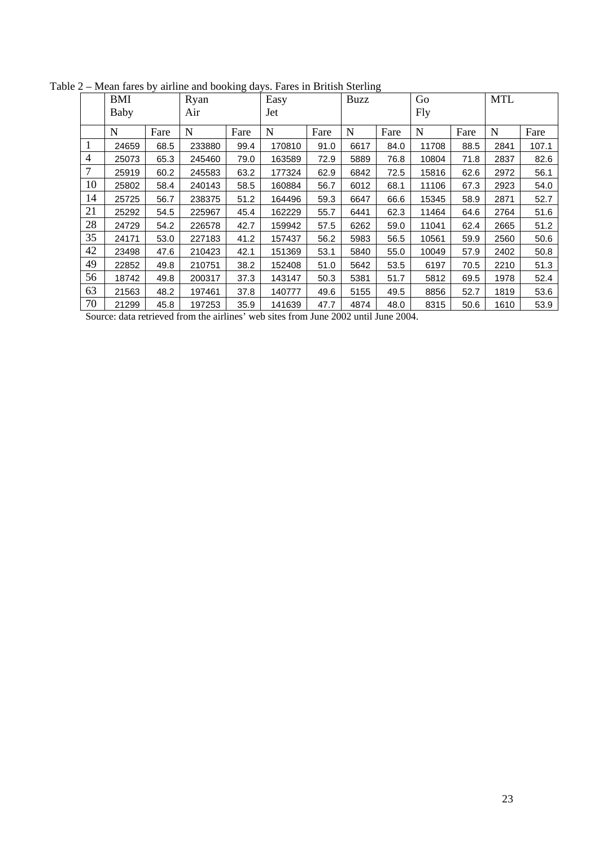|    | <b>BMI</b><br>Baby |      | Ryan   | O.   | Easy   |      | <b>Buzz</b> | $\circ$ | Go    |      | <b>MTL</b> |       |
|----|--------------------|------|--------|------|--------|------|-------------|---------|-------|------|------------|-------|
|    |                    |      | Air    |      | Jet    |      |             |         | Fly   |      |            |       |
|    | N                  | Fare | N      | Fare | N      | Fare | N           | Fare    | N     | Fare | N          | Fare  |
|    | 24659              | 68.5 | 233880 | 99.4 | 170810 | 91.0 | 6617        | 84.0    | 11708 | 88.5 | 2841       | 107.1 |
| 4  | 25073              | 65.3 | 245460 | 79.0 | 163589 | 72.9 | 5889        | 76.8    | 10804 | 71.8 | 2837       | 82.6  |
| 7  | 25919              | 60.2 | 245583 | 63.2 | 177324 | 62.9 | 6842        | 72.5    | 15816 | 62.6 | 2972       | 56.1  |
| 10 | 25802              | 58.4 | 240143 | 58.5 | 160884 | 56.7 | 6012        | 68.1    | 11106 | 67.3 | 2923       | 54.0  |
| 14 | 25725              | 56.7 | 238375 | 51.2 | 164496 | 59.3 | 6647        | 66.6    | 15345 | 58.9 | 2871       | 52.7  |
| 21 | 25292              | 54.5 | 225967 | 45.4 | 162229 | 55.7 | 6441        | 62.3    | 11464 | 64.6 | 2764       | 51.6  |
| 28 | 24729              | 54.2 | 226578 | 42.7 | 159942 | 57.5 | 6262        | 59.0    | 11041 | 62.4 | 2665       | 51.2  |
| 35 | 24171              | 53.0 | 227183 | 41.2 | 157437 | 56.2 | 5983        | 56.5    | 10561 | 59.9 | 2560       | 50.6  |
| 42 | 23498              | 47.6 | 210423 | 42.1 | 151369 | 53.1 | 5840        | 55.0    | 10049 | 57.9 | 2402       | 50.8  |
| 49 | 22852              | 49.8 | 210751 | 38.2 | 152408 | 51.0 | 5642        | 53.5    | 6197  | 70.5 | 2210       | 51.3  |
| 56 | 18742              | 49.8 | 200317 | 37.3 | 143147 | 50.3 | 5381        | 51.7    | 5812  | 69.5 | 1978       | 52.4  |
| 63 | 21563              | 48.2 | 197461 | 37.8 | 140777 | 49.6 | 5155        | 49.5    | 8856  | 52.7 | 1819       | 53.6  |
| 70 | 21299              | 45.8 | 197253 | 35.9 | 141639 | 47.7 | 4874        | 48.0    | 8315  | 50.6 | 1610       | 53.9  |

Table 2 – Mean fares by airline and booking days. Fares in British Sterling

Source: data retrieved from the airlines' web sites from June 2002 until June 2004.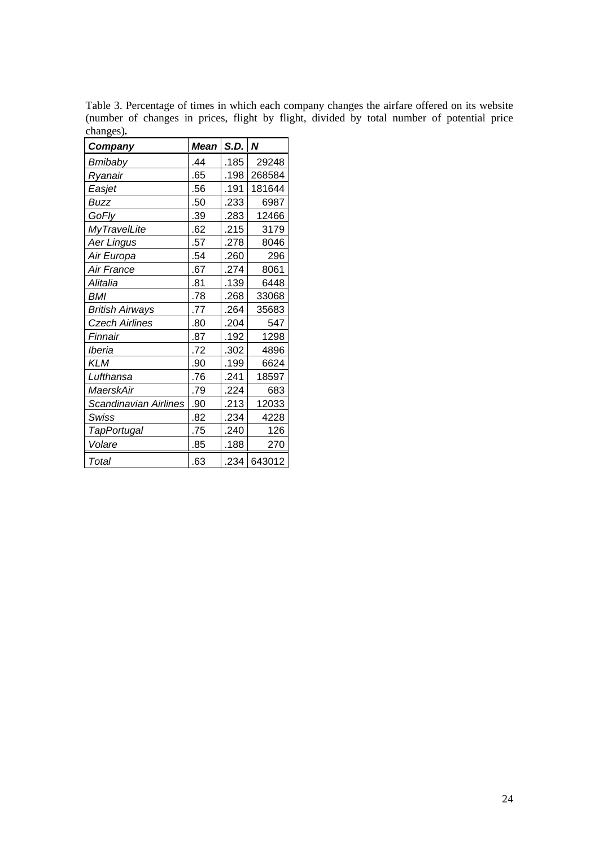| <b>Company</b>         | Mean | S.D. | N      |
|------------------------|------|------|--------|
| <b>Bmibaby</b>         | .44  | .185 | 29248  |
| Ryanair                | .65  | .198 | 268584 |
| Easjet                 | .56  | .191 | 181644 |
| Buzz                   | .50  | .233 | 6987   |
| GoFly                  | .39  | .283 | 12466  |
| <b>MyTravelLite</b>    | .62  | .215 | 3179   |
| Aer Lingus             | .57  | .278 | 8046   |
| Air Europa             | .54  | .260 | 296    |
| Air France             | .67  | .274 | 8061   |
| Alitalia               | .81  | .139 | 6448   |
| BMI                    | .78  | .268 | 33068  |
| <b>British Airways</b> | .77  | .264 | 35683  |
| Czech Airlines         | .80  | .204 | 547    |
| Finnair                | .87  | .192 | 1298   |
| Iberia                 | .72  | .302 | 4896   |
| KLM                    | .90  | .199 | 6624   |
| Lufthansa              | .76  | .241 | 18597  |
| MaerskAir              | .79  | .224 | 683    |
| Scandinavian Airlines  | .90  | .213 | 12033  |
| Swiss                  | .82  | .234 | 4228   |
| TapPortugal            | .75  | .240 | 126    |
| Volare                 | .85  | .188 | 270    |
| Total                  | .63  | .234 | 643012 |

Table 3. Percentage of times in which each company changes the airfare offered on its website (number of changes in prices, flight by flight, divided by total number of potential price changes)*.*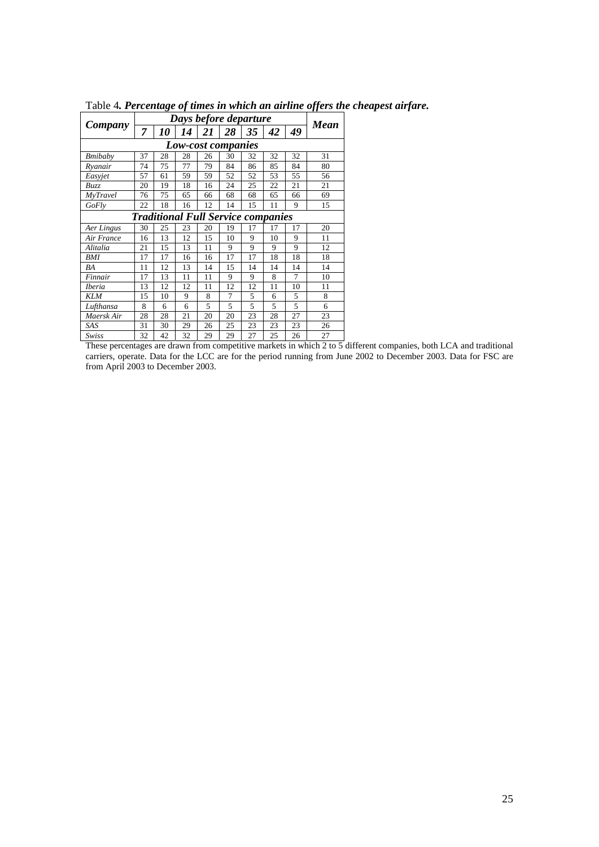|                                           |    | Mean |    |    |    |    |    |    |    |  |  |  |  |
|-------------------------------------------|----|------|----|----|----|----|----|----|----|--|--|--|--|
| Company                                   | 7  | 10   | 14 | 21 | 28 | 35 | 42 | 49 |    |  |  |  |  |
| Low-cost companies                        |    |      |    |    |    |    |    |    |    |  |  |  |  |
| <b>Bmibaby</b>                            | 37 | 28   | 28 | 26 | 30 | 32 | 32 | 32 | 31 |  |  |  |  |
| Ryanair                                   | 74 | 75   | 77 | 79 | 84 | 86 | 85 | 84 | 80 |  |  |  |  |
| Easyjet                                   | 57 | 61   | 59 | 59 | 52 | 52 | 53 | 55 | 56 |  |  |  |  |
| Buzz                                      | 20 | 19   | 18 | 16 | 24 | 25 | 22 | 21 | 21 |  |  |  |  |
| MyTravel                                  | 76 | 75   | 65 | 66 | 68 | 68 | 65 | 66 | 69 |  |  |  |  |
| GoFly                                     | 22 | 18   | 16 | 12 | 14 | 15 | 11 | 9  | 15 |  |  |  |  |
| <b>Traditional Full Service companies</b> |    |      |    |    |    |    |    |    |    |  |  |  |  |
| Aer Lingus                                | 30 | 25   | 23 | 20 | 19 | 17 | 17 | 17 | 20 |  |  |  |  |
| Air France                                | 16 | 13   | 12 | 15 | 10 | 9  | 10 | 9  | 11 |  |  |  |  |
| Alitalia                                  | 21 | 15   | 13 | 11 | 9  | 9  | 9  | 9  | 12 |  |  |  |  |
| BMI                                       | 17 | 17   | 16 | 16 | 17 | 17 | 18 | 18 | 18 |  |  |  |  |
| <b>BA</b>                                 | 11 | 12   | 13 | 14 | 15 | 14 | 14 | 14 | 14 |  |  |  |  |
| Finnair                                   | 17 | 13   | 11 | 11 | 9  | 9  | 8  | 7  | 10 |  |  |  |  |
| <i>Iberia</i>                             | 13 | 12   | 12 | 11 | 12 | 12 | 11 | 10 | 11 |  |  |  |  |
| <b>KLM</b>                                | 15 | 10   | 9  | 8  | 7  | 5  | 6  | 5  | 8  |  |  |  |  |
| Lufthansa                                 | 8  | 6    | 6  | 5  | 5  | 5  | 5  | 5  | 6  |  |  |  |  |
| Maersk Air                                | 28 | 28   | 21 | 20 | 20 | 23 | 28 | 27 | 23 |  |  |  |  |
| SAS                                       | 31 | 30   | 29 | 26 | 25 | 23 | 23 | 23 | 26 |  |  |  |  |
| Swiss                                     | 32 | 42   | 32 | 29 | 29 | 27 | 25 | 26 | 27 |  |  |  |  |

Table 4*. Percentage of times in which an airline offers the cheapest airfare.* 

These percentages are drawn from competitive markets in which 2 to 5 different companies, both LCA and traditional carriers, operate. Data for the LCC are for the period running from June 2002 to December 2003. Data for FSC are from April 2003 to December 2003.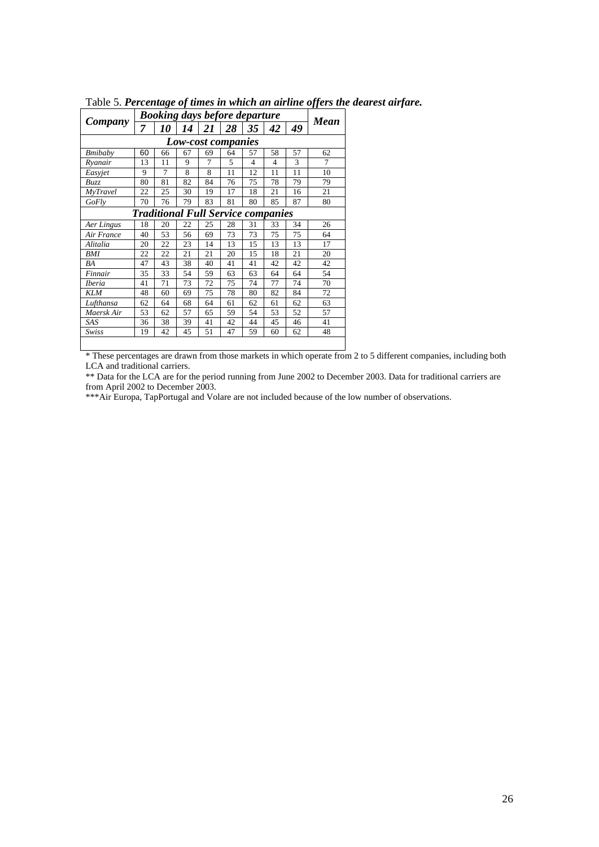|                                           | <b>Booking days before departure</b> | Mean |    |    |    |    |    |    |    |  |  |  |
|-------------------------------------------|--------------------------------------|------|----|----|----|----|----|----|----|--|--|--|
| Company                                   | 7                                    | 10   | 14 | 21 | 28 | 35 | 42 | 49 |    |  |  |  |
| Low-cost companies                        |                                      |      |    |    |    |    |    |    |    |  |  |  |
| Bmibaby                                   | 60                                   | 66   | 67 | 69 | 64 | 57 | 58 | 57 | 62 |  |  |  |
| Ryanair                                   | 13                                   | 11   | 9  | 7  | 5  | 4  | 4  | 3  | 7  |  |  |  |
| Easyjet                                   | 9                                    | 7    | 8  | 8  | 11 | 12 | 11 | 11 | 10 |  |  |  |
| Buzz                                      | 80                                   | 81   | 82 | 84 | 76 | 75 | 78 | 79 | 79 |  |  |  |
| MyTravel                                  | 22                                   | 25   | 30 | 19 | 17 | 18 | 21 | 16 | 21 |  |  |  |
| GoFly                                     | 70                                   | 76   | 79 | 83 | 81 | 80 | 85 | 87 | 80 |  |  |  |
| <b>Traditional Full Service companies</b> |                                      |      |    |    |    |    |    |    |    |  |  |  |
| Aer Lingus                                | 18                                   | 20   | 22 | 25 | 28 | 31 | 33 | 34 | 26 |  |  |  |
| Air France                                | 40                                   | 53   | 56 | 69 | 73 | 73 | 75 | 75 | 64 |  |  |  |
| Alitalia                                  | 20                                   | 22   | 23 | 14 | 13 | 15 | 13 | 13 | 17 |  |  |  |
| <b>BMI</b>                                | 22                                   | 22   | 21 | 21 | 20 | 15 | 18 | 21 | 20 |  |  |  |
| <b>BA</b>                                 | 47                                   | 43   | 38 | 40 | 41 | 41 | 42 | 42 | 42 |  |  |  |
| Finnair                                   | 35                                   | 33   | 54 | 59 | 63 | 63 | 64 | 64 | 54 |  |  |  |
| Iberia                                    | 41                                   | 71   | 73 | 72 | 75 | 74 | 77 | 74 | 70 |  |  |  |
| KI M                                      | 48                                   | 60   | 69 | 75 | 78 | 80 | 82 | 84 | 72 |  |  |  |
| Lufthansa                                 | 62                                   | 64   | 68 | 64 | 61 | 62 | 61 | 62 | 63 |  |  |  |
| Maersk Air                                | 53                                   | 62   | 57 | 65 | 59 | 54 | 53 | 52 | 57 |  |  |  |
| SAS                                       | 36                                   | 38   | 39 | 41 | 42 | 44 | 45 | 46 | 41 |  |  |  |
| Swiss                                     | 19                                   | 42   | 45 | 51 | 47 | 59 | 60 | 62 | 48 |  |  |  |

Table 5. *Percentage of times in which an airline offers the dearest airfare.* 

\* These percentages are drawn from those markets in which operate from 2 to 5 different companies, including both LCA and traditional carriers.

\*\* Data for the LCA are for the period running from June 2002 to December 2003. Data for traditional carriers are from April 2002 to December 2003.

\*\*\*Air Europa, TapPortugal and Volare are not included because of the low number of observations.